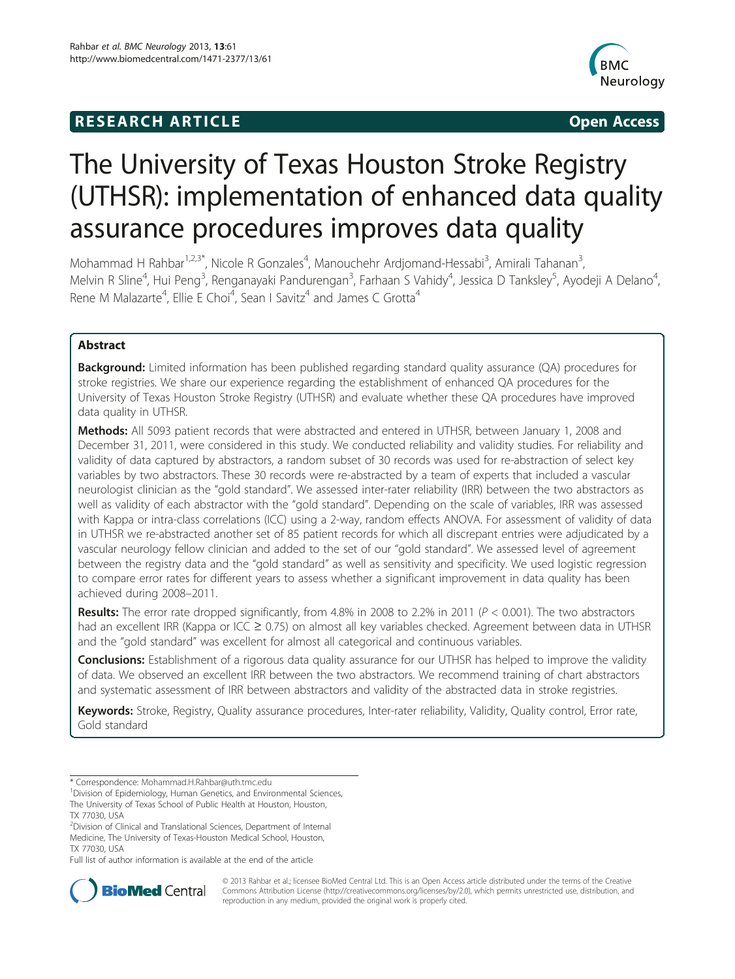# **RESEARCH ARTICLE Example 2014 COPEN ACCESS**



# The University of Texas Houston Stroke Registry (UTHSR): implementation of enhanced data quality assurance procedures improves data quality

Mohammad H Rahbar<sup>1,2,3\*</sup>, Nicole R Gonzales<sup>4</sup>, Manouchehr Ardjomand-Hessabi<sup>3</sup>, Amirali Tahanan<sup>3</sup> , Melvin R Sline<sup>4</sup>, Hui Peng<sup>3</sup>, Renganayaki Pandurengan<sup>3</sup>, Farhaan S Vahidy<sup>4</sup>, Jessica D Tanksley<sup>5</sup>, Ayodeji A Delano<sup>4</sup> , Rene M Malazarte<sup>4</sup>, Ellie E Choi<sup>4</sup>, Sean I Savitz<sup>4</sup> and James C Grotta<sup>4</sup>

# Abstract

**Background:** Limited information has been published regarding standard quality assurance (QA) procedures for stroke registries. We share our experience regarding the establishment of enhanced QA procedures for the University of Texas Houston Stroke Registry (UTHSR) and evaluate whether these QA procedures have improved data quality in UTHSR.

Methods: All 5093 patient records that were abstracted and entered in UTHSR, between January 1, 2008 and December 31, 2011, were considered in this study. We conducted reliability and validity studies. For reliability and validity of data captured by abstractors, a random subset of 30 records was used for re-abstraction of select key variables by two abstractors. These 30 records were re-abstracted by a team of experts that included a vascular neurologist clinician as the "gold standard". We assessed inter-rater reliability (IRR) between the two abstractors as well as validity of each abstractor with the "gold standard". Depending on the scale of variables, IRR was assessed with Kappa or intra-class correlations (ICC) using a 2-way, random effects ANOVA. For assessment of validity of data in UTHSR we re-abstracted another set of 85 patient records for which all discrepant entries were adjudicated by a vascular neurology fellow clinician and added to the set of our "gold standard". We assessed level of agreement between the registry data and the "gold standard" as well as sensitivity and specificity. We used logistic regression to compare error rates for different years to assess whether a significant improvement in data quality has been achieved during 2008–2011.

Results: The error rate dropped significantly, from 4.8% in 2008 to 2.2% in 2011 ( $P < 0.001$ ). The two abstractors had an excellent IRR (Kappa or ICC ≥ 0.75) on almost all key variables checked. Agreement between data in UTHSR and the "gold standard" was excellent for almost all categorical and continuous variables.

**Conclusions:** Establishment of a rigorous data quality assurance for our UTHSR has helped to improve the validity of data. We observed an excellent IRR between the two abstractors. We recommend training of chart abstractors and systematic assessment of IRR between abstractors and validity of the abstracted data in stroke registries.

Keywords: Stroke, Registry, Quality assurance procedures, Inter-rater reliability, Validity, Quality control, Error rate, Gold standard

TX 77030, USA

<sup>2</sup> Division of Clinical and Translational Sciences, Department of Internal Medicine, The University of Texas-Houston Medical School, Houston, TX 77030, USA

Full list of author information is available at the end of the article



© 2013 Rahbar et al.; licensee BioMed Central Ltd. This is an Open Access article distributed under the terms of the Creative Commons Attribution License [\(http://creativecommons.org/licenses/by/2.0\)](http://creativecommons.org/licenses/by/2.0), which permits unrestricted use, distribution, and reproduction in any medium, provided the original work is properly cited.

<sup>\*</sup> Correspondence: [Mohammad.H.Rahbar@uth.tmc.edu](mailto:Mohammad.H.Rahbar@uth.tmc.edu) <sup>1</sup>

<sup>&</sup>lt;sup>1</sup> Division of Epidemiology, Human Genetics, and Environmental Sciences, The University of Texas School of Public Health at Houston, Houston,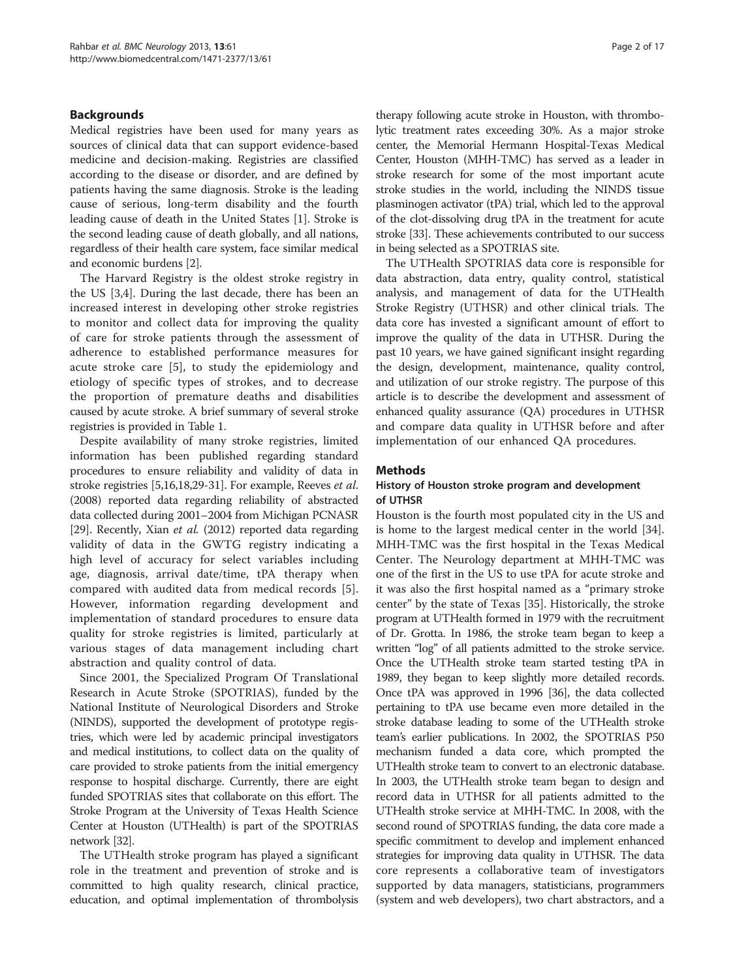# Backgrounds

Medical registries have been used for many years as sources of clinical data that can support evidence-based medicine and decision-making. Registries are classified according to the disease or disorder, and are defined by patients having the same diagnosis. Stroke is the leading cause of serious, long-term disability and the fourth leading cause of death in the United States [\[1\]](#page-14-0). Stroke is the second leading cause of death globally, and all nations, regardless of their health care system, face similar medical and economic burdens [[2\]](#page-14-0).

The Harvard Registry is the oldest stroke registry in the US [[3,4\]](#page-14-0). During the last decade, there has been an increased interest in developing other stroke registries to monitor and collect data for improving the quality of care for stroke patients through the assessment of adherence to established performance measures for acute stroke care [\[5](#page-14-0)], to study the epidemiology and etiology of specific types of strokes, and to decrease the proportion of premature deaths and disabilities caused by acute stroke. A brief summary of several stroke registries is provided in Table [1](#page-2-0).

Despite availability of many stroke registries, limited information has been published regarding standard procedures to ensure reliability and validity of data in stroke registries [[5](#page-14-0)[,16,18,29-31\]](#page-15-0). For example, Reeves et al. (2008) reported data regarding reliability of abstracted data collected during 2001–2004 from Michigan PCNASR [[29](#page-15-0)]. Recently, Xian et al. (2012) reported data regarding validity of data in the GWTG registry indicating a high level of accuracy for select variables including age, diagnosis, arrival date/time, tPA therapy when compared with audited data from medical records [\[5](#page-14-0)]. However, information regarding development and implementation of standard procedures to ensure data quality for stroke registries is limited, particularly at various stages of data management including chart abstraction and quality control of data.

Since 2001, the Specialized Program Of Translational Research in Acute Stroke (SPOTRIAS), funded by the National Institute of Neurological Disorders and Stroke (NINDS), supported the development of prototype registries, which were led by academic principal investigators and medical institutions, to collect data on the quality of care provided to stroke patients from the initial emergency response to hospital discharge. Currently, there are eight funded SPOTRIAS sites that collaborate on this effort. The Stroke Program at the University of Texas Health Science Center at Houston (UTHealth) is part of the SPOTRIAS network [[32\]](#page-15-0).

The UTHealth stroke program has played a significant role in the treatment and prevention of stroke and is committed to high quality research, clinical practice, education, and optimal implementation of thrombolysis

therapy following acute stroke in Houston, with thrombolytic treatment rates exceeding 30%. As a major stroke center, the Memorial Hermann Hospital-Texas Medical Center, Houston (MHH-TMC) has served as a leader in stroke research for some of the most important acute stroke studies in the world, including the NINDS tissue plasminogen activator (tPA) trial, which led to the approval of the clot-dissolving drug tPA in the treatment for acute stroke [[33](#page-15-0)]. These achievements contributed to our success in being selected as a SPOTRIAS site.

The UTHealth SPOTRIAS data core is responsible for data abstraction, data entry, quality control, statistical analysis, and management of data for the UTHealth Stroke Registry (UTHSR) and other clinical trials. The data core has invested a significant amount of effort to improve the quality of the data in UTHSR. During the past 10 years, we have gained significant insight regarding the design, development, maintenance, quality control, and utilization of our stroke registry. The purpose of this article is to describe the development and assessment of enhanced quality assurance (QA) procedures in UTHSR and compare data quality in UTHSR before and after implementation of our enhanced QA procedures.

# **Methods**

# History of Houston stroke program and development of UTHSR

Houston is the fourth most populated city in the US and is home to the largest medical center in the world [\[34](#page-15-0)]. MHH-TMC was the first hospital in the Texas Medical Center. The Neurology department at MHH-TMC was one of the first in the US to use tPA for acute stroke and it was also the first hospital named as a "primary stroke center" by the state of Texas [[35\]](#page-15-0). Historically, the stroke program at UTHealth formed in 1979 with the recruitment of Dr. Grotta. In 1986, the stroke team began to keep a written "log" of all patients admitted to the stroke service. Once the UTHealth stroke team started testing tPA in 1989, they began to keep slightly more detailed records. Once tPA was approved in 1996 [\[36\]](#page-15-0), the data collected pertaining to tPA use became even more detailed in the stroke database leading to some of the UTHealth stroke team's earlier publications. In 2002, the SPOTRIAS P50 mechanism funded a data core, which prompted the UTHealth stroke team to convert to an electronic database. In 2003, the UTHealth stroke team began to design and record data in UTHSR for all patients admitted to the UTHealth stroke service at MHH-TMC. In 2008, with the second round of SPOTRIAS funding, the data core made a specific commitment to develop and implement enhanced strategies for improving data quality in UTHSR. The data core represents a collaborative team of investigators supported by data managers, statisticians, programmers (system and web developers), two chart abstractors, and a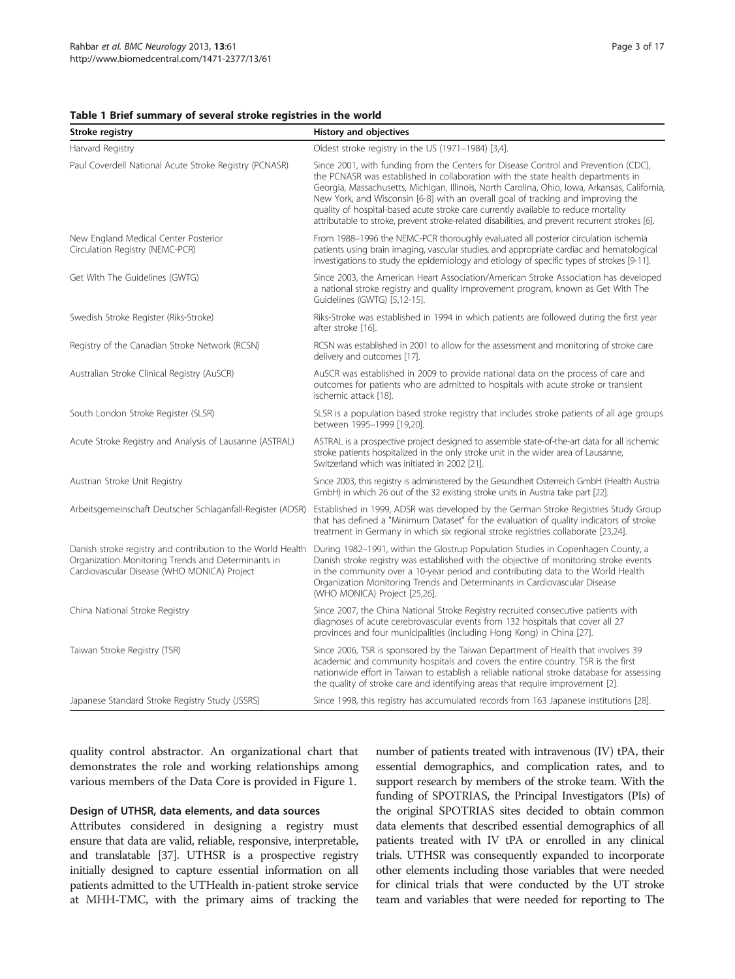<span id="page-2-0"></span>

|  |  |  |  |  |  |  | Table 1 Brief summary of several stroke registries in the world |  |  |  |  |
|--|--|--|--|--|--|--|-----------------------------------------------------------------|--|--|--|--|
|--|--|--|--|--|--|--|-----------------------------------------------------------------|--|--|--|--|

| Stroke registry                                                                                                                                                  | <b>History and objectives</b>                                                                                                                                                                                                                                                                                                                                                                                                                                                                                                                          |
|------------------------------------------------------------------------------------------------------------------------------------------------------------------|--------------------------------------------------------------------------------------------------------------------------------------------------------------------------------------------------------------------------------------------------------------------------------------------------------------------------------------------------------------------------------------------------------------------------------------------------------------------------------------------------------------------------------------------------------|
| Harvard Registry                                                                                                                                                 | Oldest stroke registry in the US (1971-1984) [3,4].                                                                                                                                                                                                                                                                                                                                                                                                                                                                                                    |
| Paul Coverdell National Acute Stroke Registry (PCNASR)                                                                                                           | Since 2001, with funding from the Centers for Disease Control and Prevention (CDC),<br>the PCNASR was established in collaboration with the state health departments in<br>Georgia, Massachusetts, Michigan, Illinois, North Carolina, Ohio, Iowa, Arkansas, California,<br>New York, and Wisconsin [6-8] with an overall goal of tracking and improving the<br>quality of hospital-based acute stroke care currently available to reduce mortality<br>attributable to stroke, prevent stroke-related disabilities, and prevent recurrent strokes [6]. |
| New England Medical Center Posterior<br>Circulation Registry (NEMC-PCR)                                                                                          | From 1988-1996 the NEMC-PCR thoroughly evaluated all posterior circulation ischemia<br>patients using brain imaging, vascular studies, and appropriate cardiac and hematological<br>investigations to study the epidemiology and etiology of specific types of strokes [9-11].                                                                                                                                                                                                                                                                         |
| Get With The Guidelines (GWTG)                                                                                                                                   | Since 2003, the American Heart Association/American Stroke Association has developed<br>a national stroke registry and quality improvement program, known as Get With The<br>Guidelines (GWTG) [5,12-15].                                                                                                                                                                                                                                                                                                                                              |
| Swedish Stroke Register (Riks-Stroke)                                                                                                                            | Riks-Stroke was established in 1994 in which patients are followed during the first year<br>after stroke [16].                                                                                                                                                                                                                                                                                                                                                                                                                                         |
| Registry of the Canadian Stroke Network (RCSN)                                                                                                                   | RCSN was established in 2001 to allow for the assessment and monitoring of stroke care<br>delivery and outcomes [17].                                                                                                                                                                                                                                                                                                                                                                                                                                  |
| Australian Stroke Clinical Registry (AuSCR)                                                                                                                      | AuSCR was established in 2009 to provide national data on the process of care and<br>outcomes for patients who are admitted to hospitals with acute stroke or transient<br>ischemic attack [18].                                                                                                                                                                                                                                                                                                                                                       |
| South London Stroke Register (SLSR)                                                                                                                              | SLSR is a population based stroke registry that includes stroke patients of all age groups<br>between 1995-1999 [19,20].                                                                                                                                                                                                                                                                                                                                                                                                                               |
| Acute Stroke Registry and Analysis of Lausanne (ASTRAL)                                                                                                          | ASTRAL is a prospective project designed to assemble state-of-the-art data for all ischemic<br>stroke patients hospitalized in the only stroke unit in the wider area of Lausanne,<br>Switzerland which was initiated in 2002 [21].                                                                                                                                                                                                                                                                                                                    |
| Austrian Stroke Unit Registry                                                                                                                                    | Since 2003, this registry is administered by the Gesundheit Osterreich GmbH (Health Austria<br>GmbH) in which 26 out of the 32 existing stroke units in Austria take part [22].                                                                                                                                                                                                                                                                                                                                                                        |
| Arbeitsgemeinschaft Deutscher Schlaganfall-Register (ADSR)                                                                                                       | Established in 1999, ADSR was developed by the German Stroke Registries Study Group<br>that has defined a "Minimum Dataset" for the evaluation of quality indicators of stroke<br>treatment in Germany in which six regional stroke registries collaborate [23,24].                                                                                                                                                                                                                                                                                    |
| Danish stroke registry and contribution to the World Health<br>Organization Monitoring Trends and Determinants in<br>Cardiovascular Disease (WHO MONICA) Project | During 1982-1991, within the Glostrup Population Studies in Copenhagen County, a<br>Danish stroke registry was established with the objective of monitoring stroke events<br>in the community over a 10-year period and contributing data to the World Health<br>Organization Monitoring Trends and Determinants in Cardiovascular Disease<br>(WHO MONICA) Project [25,26].                                                                                                                                                                            |
| China National Stroke Registry                                                                                                                                   | Since 2007, the China National Stroke Registry recruited consecutive patients with<br>diagnoses of acute cerebrovascular events from 132 hospitals that cover all 27<br>provinces and four municipalities (including Hong Kong) in China [27].                                                                                                                                                                                                                                                                                                         |
| Taiwan Stroke Registry (TSR)                                                                                                                                     | Since 2006, TSR is sponsored by the Taiwan Department of Health that involves 39<br>academic and community hospitals and covers the entire country. TSR is the first<br>nationwide effort in Taiwan to establish a reliable national stroke database for assessing<br>the quality of stroke care and identifying areas that require improvement [2].                                                                                                                                                                                                   |
| Japanese Standard Stroke Registry Study (JSSRS)                                                                                                                  | Since 1998, this registry has accumulated records from 163 Japanese institutions [28].                                                                                                                                                                                                                                                                                                                                                                                                                                                                 |

quality control abstractor. An organizational chart that demonstrates the role and working relationships among various members of the Data Core is provided in Figure [1.](#page-3-0)

#### Design of UTHSR, data elements, and data sources

Attributes considered in designing a registry must ensure that data are valid, reliable, responsive, interpretable, and translatable [\[37](#page-15-0)]. UTHSR is a prospective registry initially designed to capture essential information on all patients admitted to the UTHealth in-patient stroke service at MHH-TMC, with the primary aims of tracking the

number of patients treated with intravenous (IV) tPA, their essential demographics, and complication rates, and to support research by members of the stroke team. With the funding of SPOTRIAS, the Principal Investigators (PIs) of the original SPOTRIAS sites decided to obtain common data elements that described essential demographics of all patients treated with IV tPA or enrolled in any clinical trials. UTHSR was consequently expanded to incorporate other elements including those variables that were needed for clinical trials that were conducted by the UT stroke team and variables that were needed for reporting to The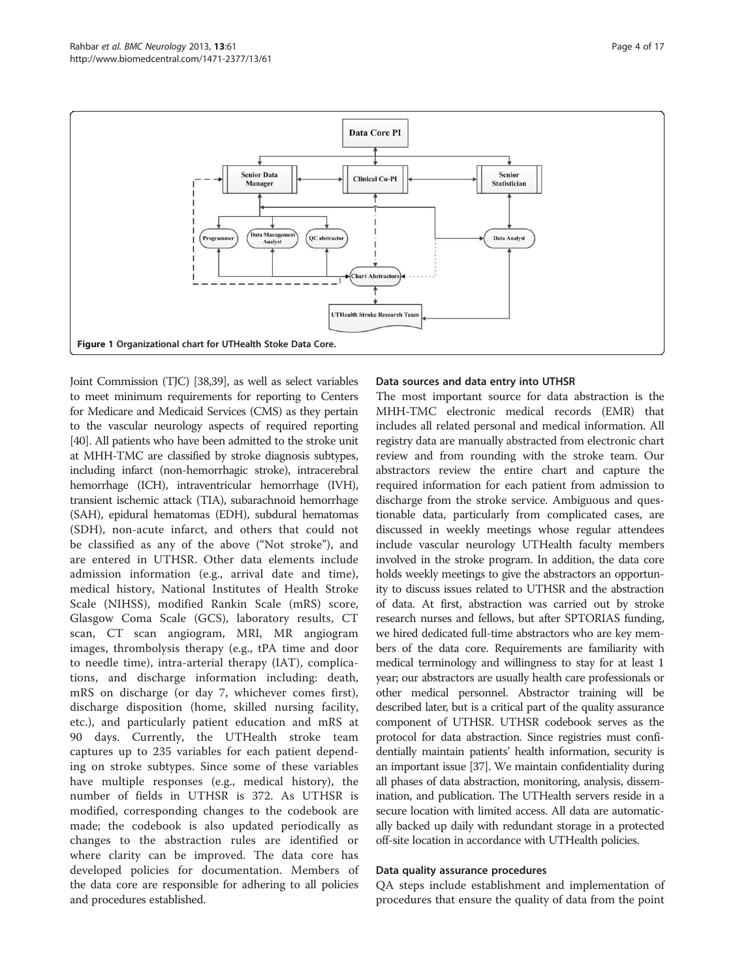<span id="page-3-0"></span>

Joint Commission (TJC) [\[38,39\]](#page-15-0), as well as select variables to meet minimum requirements for reporting to Centers for Medicare and Medicaid Services (CMS) as they pertain to the vascular neurology aspects of required reporting [[40](#page-15-0)]. All patients who have been admitted to the stroke unit at MHH-TMC are classified by stroke diagnosis subtypes, including infarct (non-hemorrhagic stroke), intracerebral hemorrhage (ICH), intraventricular hemorrhage (IVH), transient ischemic attack (TIA), subarachnoid hemorrhage (SAH), epidural hematomas (EDH), subdural hematomas (SDH), non-acute infarct, and others that could not be classified as any of the above ("Not stroke"), and are entered in UTHSR. Other data elements include admission information (e.g., arrival date and time), medical history, National Institutes of Health Stroke Scale (NIHSS), modified Rankin Scale (mRS) score, Glasgow Coma Scale (GCS), laboratory results, CT scan, CT scan angiogram, MRI, MR angiogram images, thrombolysis therapy (e.g., tPA time and door to needle time), intra-arterial therapy (IAT), complications, and discharge information including: death, mRS on discharge (or day 7, whichever comes first), discharge disposition (home, skilled nursing facility, etc.), and particularly patient education and mRS at 90 days. Currently, the UTHealth stroke team captures up to 235 variables for each patient depending on stroke subtypes. Since some of these variables have multiple responses (e.g., medical history), the number of fields in UTHSR is 372. As UTHSR is modified, corresponding changes to the codebook are made; the codebook is also updated periodically as changes to the abstraction rules are identified or where clarity can be improved. The data core has developed policies for documentation. Members of the data core are responsible for adhering to all policies and procedures established.

#### Data sources and data entry into UTHSR

The most important source for data abstraction is the MHH-TMC electronic medical records (EMR) that includes all related personal and medical information. All registry data are manually abstracted from electronic chart review and from rounding with the stroke team. Our abstractors review the entire chart and capture the required information for each patient from admission to discharge from the stroke service. Ambiguous and questionable data, particularly from complicated cases, are discussed in weekly meetings whose regular attendees include vascular neurology UTHealth faculty members involved in the stroke program. In addition, the data core holds weekly meetings to give the abstractors an opportunity to discuss issues related to UTHSR and the abstraction of data. At first, abstraction was carried out by stroke research nurses and fellows, but after SPTORIAS funding, we hired dedicated full-time abstractors who are key members of the data core. Requirements are familiarity with medical terminology and willingness to stay for at least 1 year; our abstractors are usually health care professionals or other medical personnel. Abstractor training will be described later, but is a critical part of the quality assurance component of UTHSR. UTHSR codebook serves as the protocol for data abstraction. Since registries must confidentially maintain patients' health information, security is an important issue [\[37\]](#page-15-0). We maintain confidentiality during all phases of data abstraction, monitoring, analysis, dissemination, and publication. The UTHealth servers reside in a secure location with limited access. All data are automatically backed up daily with redundant storage in a protected off-site location in accordance with UTHealth policies.

#### Data quality assurance procedures

QA steps include establishment and implementation of procedures that ensure the quality of data from the point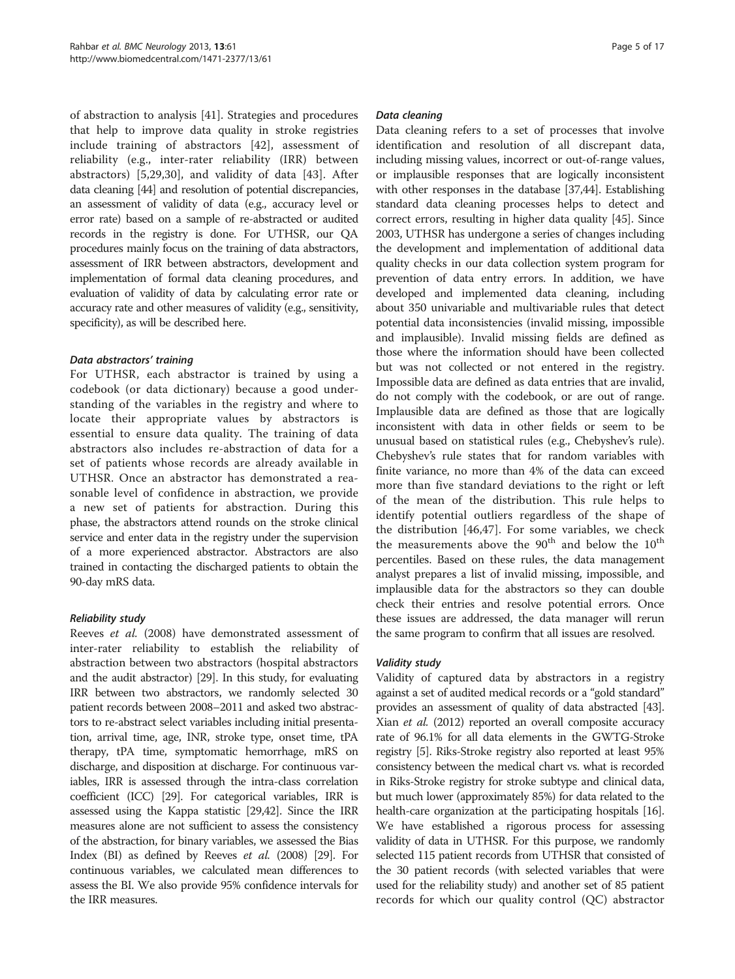of abstraction to analysis [[41\]](#page-15-0). Strategies and procedures that help to improve data quality in stroke registries include training of abstractors [\[42](#page-15-0)], assessment of reliability (e.g., inter-rater reliability (IRR) between abstractors) [[5](#page-14-0)[,29,30](#page-15-0)], and validity of data [[43\]](#page-15-0). After data cleaning [\[44\]](#page-15-0) and resolution of potential discrepancies, an assessment of validity of data (e.g., accuracy level or error rate) based on a sample of re-abstracted or audited records in the registry is done. For UTHSR, our QA procedures mainly focus on the training of data abstractors, assessment of IRR between abstractors, development and implementation of formal data cleaning procedures, and evaluation of validity of data by calculating error rate or accuracy rate and other measures of validity (e.g., sensitivity, specificity), as will be described here.

### Data abstractors' training

For UTHSR, each abstractor is trained by using a codebook (or data dictionary) because a good understanding of the variables in the registry and where to locate their appropriate values by abstractors is essential to ensure data quality. The training of data abstractors also includes re-abstraction of data for a set of patients whose records are already available in UTHSR. Once an abstractor has demonstrated a reasonable level of confidence in abstraction, we provide a new set of patients for abstraction. During this phase, the abstractors attend rounds on the stroke clinical service and enter data in the registry under the supervision of a more experienced abstractor. Abstractors are also trained in contacting the discharged patients to obtain the 90-day mRS data.

# Reliability study

Reeves et al. (2008) have demonstrated assessment of inter-rater reliability to establish the reliability of abstraction between two abstractors (hospital abstractors and the audit abstractor) [\[29\]](#page-15-0). In this study, for evaluating IRR between two abstractors, we randomly selected 30 patient records between 2008–2011 and asked two abstractors to re-abstract select variables including initial presentation, arrival time, age, INR, stroke type, onset time, tPA therapy, tPA time, symptomatic hemorrhage, mRS on discharge, and disposition at discharge. For continuous variables, IRR is assessed through the intra-class correlation coefficient (ICC) [\[29](#page-15-0)]. For categorical variables, IRR is assessed using the Kappa statistic [[29,42](#page-15-0)]. Since the IRR measures alone are not sufficient to assess the consistency of the abstraction, for binary variables, we assessed the Bias Index (BI) as defined by Reeves et al. (2008) [\[29\]](#page-15-0). For continuous variables, we calculated mean differences to assess the BI. We also provide 95% confidence intervals for the IRR measures.

#### Data cleaning

Data cleaning refers to a set of processes that involve identification and resolution of all discrepant data, including missing values, incorrect or out-of-range values, or implausible responses that are logically inconsistent with other responses in the database [[37,44](#page-15-0)]. Establishing standard data cleaning processes helps to detect and correct errors, resulting in higher data quality [[45](#page-15-0)]. Since 2003, UTHSR has undergone a series of changes including the development and implementation of additional data quality checks in our data collection system program for prevention of data entry errors. In addition, we have developed and implemented data cleaning, including about 350 univariable and multivariable rules that detect potential data inconsistencies (invalid missing, impossible and implausible). Invalid missing fields are defined as those where the information should have been collected but was not collected or not entered in the registry. Impossible data are defined as data entries that are invalid, do not comply with the codebook, or are out of range. Implausible data are defined as those that are logically inconsistent with data in other fields or seem to be unusual based on statistical rules (e.g., Chebyshev's rule). Chebyshev's rule states that for random variables with finite variance, no more than 4% of the data can exceed more than five standard deviations to the right or left of the mean of the distribution. This rule helps to identify potential outliers regardless of the shape of the distribution [[46,47\]](#page-15-0). For some variables, we check the measurements above the  $90<sup>th</sup>$  and below the  $10<sup>th</sup>$ percentiles. Based on these rules, the data management analyst prepares a list of invalid missing, impossible, and implausible data for the abstractors so they can double check their entries and resolve potential errors. Once these issues are addressed, the data manager will rerun the same program to confirm that all issues are resolved.

#### Validity study

Validity of captured data by abstractors in a registry against a set of audited medical records or a "gold standard" provides an assessment of quality of data abstracted [\[43](#page-15-0)]. Xian *et al.* (2012) reported an overall composite accuracy rate of 96.1% for all data elements in the GWTG-Stroke registry [\[5\]](#page-14-0). Riks-Stroke registry also reported at least 95% consistency between the medical chart vs. what is recorded in Riks-Stroke registry for stroke subtype and clinical data, but much lower (approximately 85%) for data related to the health-care organization at the participating hospitals [\[16](#page-15-0)]. We have established a rigorous process for assessing validity of data in UTHSR. For this purpose, we randomly selected 115 patient records from UTHSR that consisted of the 30 patient records (with selected variables that were used for the reliability study) and another set of 85 patient records for which our quality control (QC) abstractor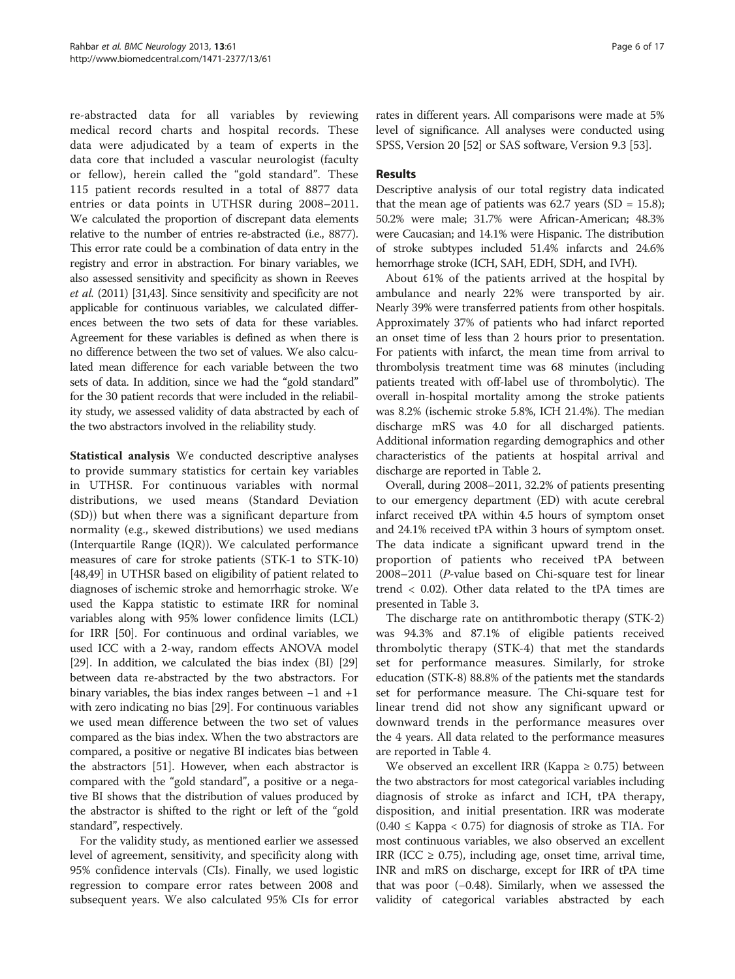re-abstracted data for all variables by reviewing medical record charts and hospital records. These data were adjudicated by a team of experts in the data core that included a vascular neurologist (faculty or fellow), herein called the "gold standard". These 115 patient records resulted in a total of 8877 data entries or data points in UTHSR during 2008–2011. We calculated the proportion of discrepant data elements relative to the number of entries re-abstracted (i.e., 8877). This error rate could be a combination of data entry in the registry and error in abstraction. For binary variables, we also assessed sensitivity and specificity as shown in Reeves et al. (2011) [\[31,43\]](#page-15-0). Since sensitivity and specificity are not applicable for continuous variables, we calculated differences between the two sets of data for these variables. Agreement for these variables is defined as when there is no difference between the two set of values. We also calculated mean difference for each variable between the two sets of data. In addition, since we had the "gold standard" for the 30 patient records that were included in the reliability study, we assessed validity of data abstracted by each of the two abstractors involved in the reliability study.

Statistical analysis We conducted descriptive analyses to provide summary statistics for certain key variables in UTHSR. For continuous variables with normal distributions, we used means (Standard Deviation (SD)) but when there was a significant departure from normality (e.g., skewed distributions) we used medians (Interquartile Range (IQR)). We calculated performance measures of care for stroke patients (STK-1 to STK-10) [[48,49](#page-15-0)] in UTHSR based on eligibility of patient related to diagnoses of ischemic stroke and hemorrhagic stroke. We used the Kappa statistic to estimate IRR for nominal variables along with 95% lower confidence limits (LCL) for IRR [\[50\]](#page-15-0). For continuous and ordinal variables, we used ICC with a 2-way, random effects ANOVA model [[29](#page-15-0)]. In addition, we calculated the bias index (BI) [[29](#page-15-0)] between data re-abstracted by the two abstractors. For binary variables, the bias index ranges between −1 and +1 with zero indicating no bias [\[29\]](#page-15-0). For continuous variables we used mean difference between the two set of values compared as the bias index. When the two abstractors are compared, a positive or negative BI indicates bias between the abstractors [\[51](#page-15-0)]. However, when each abstractor is compared with the "gold standard", a positive or a negative BI shows that the distribution of values produced by the abstractor is shifted to the right or left of the "gold standard", respectively.

For the validity study, as mentioned earlier we assessed level of agreement, sensitivity, and specificity along with 95% confidence intervals (CIs). Finally, we used logistic regression to compare error rates between 2008 and subsequent years. We also calculated 95% CIs for error

rates in different years. All comparisons were made at 5% level of significance. All analyses were conducted using SPSS, Version 20 [\[52\]](#page-15-0) or SAS software, Version 9.3 [\[53\]](#page-15-0).

# Results

Descriptive analysis of our total registry data indicated that the mean age of patients was  $62.7$  years  $(SD = 15.8)$ ; 50.2% were male; 31.7% were African-American; 48.3% were Caucasian; and 14.1% were Hispanic. The distribution of stroke subtypes included 51.4% infarcts and 24.6% hemorrhage stroke (ICH, SAH, EDH, SDH, and IVH).

About 61% of the patients arrived at the hospital by ambulance and nearly 22% were transported by air. Nearly 39% were transferred patients from other hospitals. Approximately 37% of patients who had infarct reported an onset time of less than 2 hours prior to presentation. For patients with infarct, the mean time from arrival to thrombolysis treatment time was 68 minutes (including patients treated with off-label use of thrombolytic). The overall in-hospital mortality among the stroke patients was 8.2% (ischemic stroke 5.8%, ICH 21.4%). The median discharge mRS was 4.0 for all discharged patients. Additional information regarding demographics and other characteristics of the patients at hospital arrival and discharge are reported in Table [2](#page-6-0).

Overall, during 2008–2011, 32.2% of patients presenting to our emergency department (ED) with acute cerebral infarct received tPA within 4.5 hours of symptom onset and 24.1% received tPA within 3 hours of symptom onset. The data indicate a significant upward trend in the proportion of patients who received tPA between 2008–2011 (P-value based on Chi-square test for linear trend < 0.02). Other data related to the tPA times are presented in Table [3.](#page-8-0)

The discharge rate on antithrombotic therapy (STK-2) was 94.3% and 87.1% of eligible patients received thrombolytic therapy (STK-4) that met the standards set for performance measures. Similarly, for stroke education (STK-8) 88.8% of the patients met the standards set for performance measure. The Chi-square test for linear trend did not show any significant upward or downward trends in the performance measures over the 4 years. All data related to the performance measures are reported in Table [4.](#page-9-0)

We observed an excellent IRR (Kappa  $\geq$  0.75) between the two abstractors for most categorical variables including diagnosis of stroke as infarct and ICH, tPA therapy, disposition, and initial presentation. IRR was moderate  $(0.40 \leq$  Kappa  $< 0.75$ ) for diagnosis of stroke as TIA. For most continuous variables, we also observed an excellent IRR (ICC  $\geq$  0.75), including age, onset time, arrival time, INR and mRS on discharge, except for IRR of tPA time that was poor (−0.48). Similarly, when we assessed the validity of categorical variables abstracted by each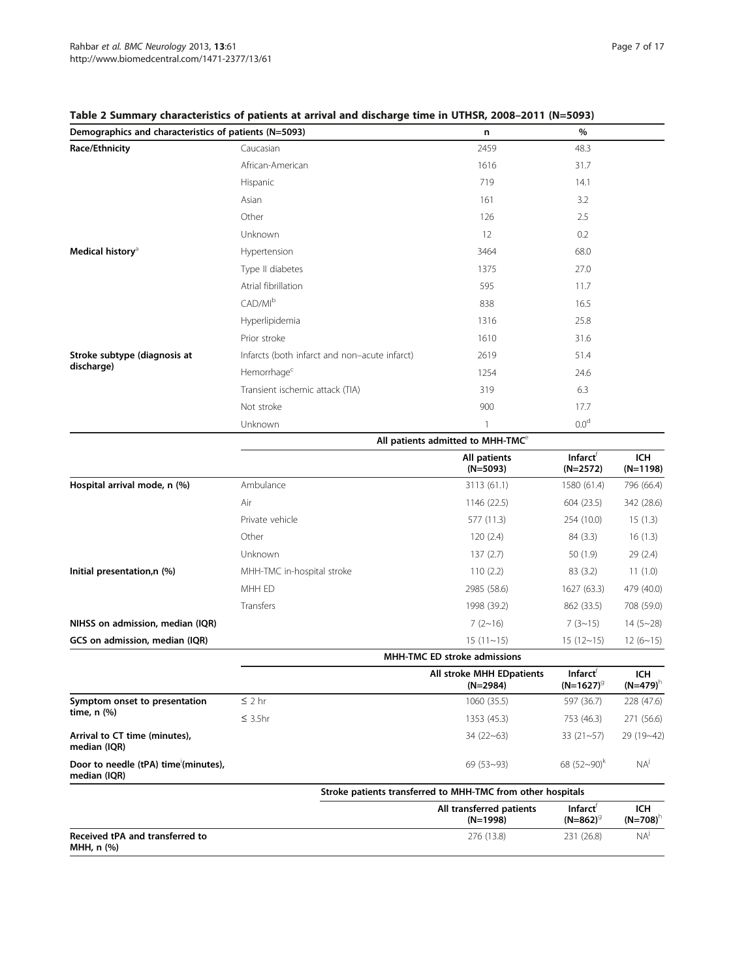| Demographics and characteristics of patients (N=5093) |                                               | n                                                           | %                         |                           |
|-------------------------------------------------------|-----------------------------------------------|-------------------------------------------------------------|---------------------------|---------------------------|
| Race/Ethnicity                                        | Caucasian                                     | 2459                                                        | 48.3                      |                           |
|                                                       | African-American                              | 1616                                                        | 31.7                      |                           |
|                                                       | Hispanic                                      | 719                                                         | 14.1                      |                           |
|                                                       | Asian                                         | 161                                                         | 3.2                       |                           |
|                                                       | Other                                         | 126                                                         | 2.5                       |                           |
|                                                       | Unknown                                       | 12                                                          | 0.2                       |                           |
| Medical history <sup>a</sup>                          | Hypertension                                  | 3464                                                        | 68.0                      |                           |
|                                                       | Type II diabetes                              | 1375                                                        | 27.0                      |                           |
|                                                       | Atrial fibrillation                           | 595                                                         | 11.7                      |                           |
|                                                       | CAD/MI <sup>b</sup>                           | 838                                                         | 16.5                      |                           |
|                                                       | Hyperlipidemia                                | 1316                                                        | 25.8                      |                           |
|                                                       | Prior stroke                                  | 1610                                                        | 31.6                      |                           |
| Stroke subtype (diagnosis at                          | Infarcts (both infarct and non-acute infarct) | 2619                                                        | 51.4                      |                           |
| discharge)                                            | Hemorrhage <sup>c</sup>                       | 1254                                                        | 24.6                      |                           |
|                                                       | Transient ischemic attack (TIA)               | 319                                                         | 6.3                       |                           |
|                                                       | Not stroke                                    | 900                                                         | 17.7                      |                           |
|                                                       | Unknown                                       | 1                                                           | 0.0 <sup>d</sup>          |                           |
|                                                       |                                               | All patients admitted to MHH-TMC <sup>e</sup>               |                           |                           |
|                                                       |                                               | All patients<br>$(N=5093)$                                  | Infarct<br>$(N=2572)$     | <b>ICH</b><br>$(N=1198)$  |
| Hospital arrival mode, n (%)                          | Ambulance                                     | 3113 (61.1)                                                 | 1580 (61.4)               | 796 (66.4)                |
|                                                       | Air                                           | 1146 (22.5)                                                 | 604(23.5)                 | 342 (28.6)                |
|                                                       | Private vehicle                               | 577 (11.3)                                                  | 254 (10.0)                | 15(1.3)                   |
|                                                       | Other                                         | 120(2.4)                                                    | 84 (3.3)                  | 16(1.3)                   |
|                                                       | Unknown                                       | 137(2.7)                                                    | 50(1.9)                   | 29(2.4)                   |
| Initial presentation,n (%)                            | MHH-TMC in-hospital stroke                    | 110(2.2)                                                    | 83(3.2)                   | 11(1.0)                   |
|                                                       | MHH ED                                        | 2985 (58.6)                                                 | 1627 (63.3)               | 479 (40.0)                |
|                                                       | Transfers                                     | 1998 (39.2)                                                 | 862 (33.5)                | 708 (59.0)                |
| NIHSS on admission, median (IQR)                      |                                               | 7(2~16)                                                     | 7(3~15)                   | 14(5~28)                  |
| GCS on admission, median (IQR)                        |                                               | 15(11~15)                                                   | 15(12~15)                 | $12(6-15)$                |
|                                                       |                                               | MHH-TMC ED stroke admissions                                |                           |                           |
|                                                       |                                               | All stroke MHH EDpatients<br>$(N=2984)$                     | Infarct<br>$(N=1627)^{9}$ | <b>ICH</b><br>$(N=479)^h$ |
| Symptom onset to presentation                         | $\leq$ 2 hr                                   | 1060 (35.5)                                                 | 597 (36.7)                | 228 (47.6)                |
| time, n (%)                                           | $\leq$ 3.5hr                                  | 1353 (45.3)                                                 | 753 (46.3)                | 271 (56.6)                |
| Arrival to CT time (minutes),<br>median (IQR)         |                                               | $34(22-63)$                                                 | $33(21-57)$               | 29 (19~42)                |
| Door to needle (tPA) time (minutes),<br>median (IQR)  |                                               | $69(53-93)$                                                 | 68 $(52-90)^k$            | NA <sup>j</sup>           |
|                                                       |                                               | Stroke patients transferred to MHH-TMC from other hospitals |                           |                           |
|                                                       |                                               | All transferred patients<br>$(N=1998)$                      | Infarct<br>$(N=862)^{9}$  | ICH<br>$(N=708)^h$        |
| Received tPA and transferred to<br>MHH, n (%)         |                                               | 276 (13.8)                                                  | 231 (26.8)                | NA <sup>j</sup>           |

# <span id="page-6-0"></span>Table 2 Summary characteristics of patients at arrival and discharge time in UTHSR, 2008–2011 (N=5093)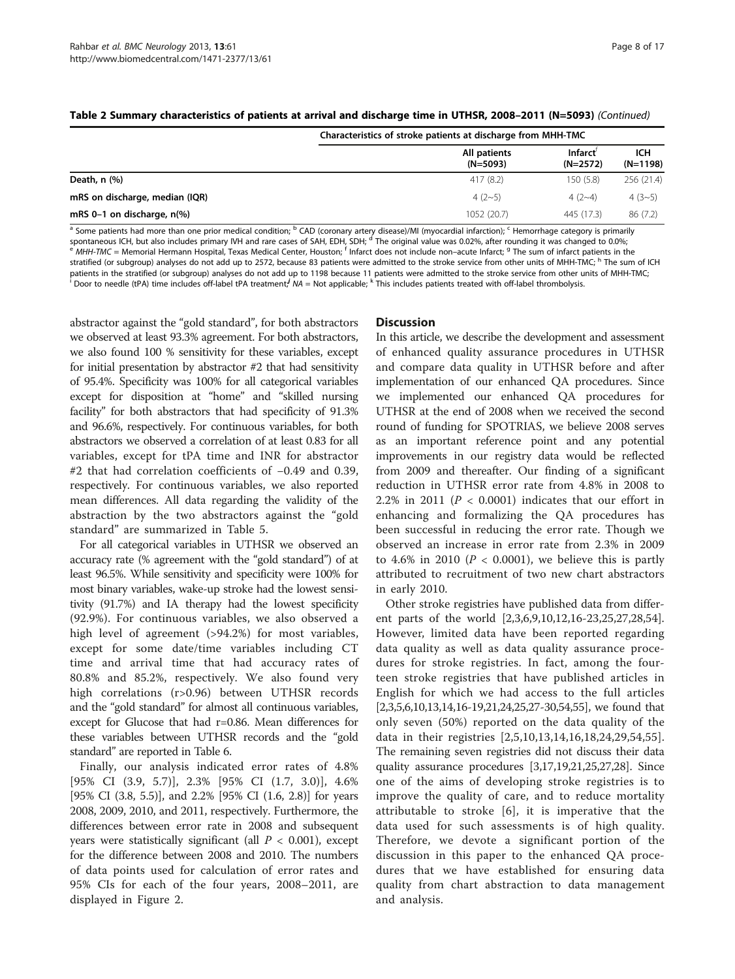| Table 2 Summary characteristics of patients at arrival and discharge time in UTHSR, 2008-2011 (N=5093) (Continued) |  |  |  |
|--------------------------------------------------------------------------------------------------------------------|--|--|--|
|--------------------------------------------------------------------------------------------------------------------|--|--|--|

|                                |                          | Characteristics of stroke patients at discharge from MHH-TMC |                          |  |  |  |  |  |  |
|--------------------------------|--------------------------|--------------------------------------------------------------|--------------------------|--|--|--|--|--|--|
|                                | All patients<br>(N=5093) | <b>Infarct</b><br>$(N=2572)$                                 | <b>ICH</b><br>$(N=1198)$ |  |  |  |  |  |  |
| Death, n (%)                   | 417(8.2)                 | 150 (5.8)                                                    | 256 (21.4)               |  |  |  |  |  |  |
| mRS on discharge, median (IQR) | $4(2-5)$                 | $4(2-4)$                                                     | $4(3-5)$                 |  |  |  |  |  |  |
| mRS 0-1 on discharge, $n\%$    | 1052 (20.7)              | 445 (17.3)                                                   | 86(7.2)                  |  |  |  |  |  |  |

<sup>a</sup> Some patients had more than one prior medical condition; <sup>b</sup> CAD (coronary artery disease)/MI (myocardial infarction); <sup>c</sup> Hemorrhage category is primarily spontaneous ICH, but also includes primarily inditary cates of <sup>e</sup> MHH-TMC = Memorial Hermann Hospital, Texas Medical Center, Houston; <sup>f</sup> Infarct does not include non-acute Infarct; <sup>9</sup> The sum of infarct patients in the stratified (or subgroup) analyses do not add up to 2572, because 83 patients were admitted to the stroke service from other units of MHH-TMC; <sup>h</sup> The sum of ICH patients in the stratified (or subgroup) analyses do not add up to 1198 because 11 patients were admitted to the stroke service from other units of MHH-TMC; <sup>i</sup>  $\overline{B}$  Door to needle (tPA) time includes off-label tPA treatment;<sup>j</sup> MA = Not applicable; <sup>k</sup> This includes patients treated with off-label thrombolysis.

abstractor against the "gold standard", for both abstractors we observed at least 93.3% agreement. For both abstractors, we also found 100 % sensitivity for these variables, except for initial presentation by abstractor #2 that had sensitivity of 95.4%. Specificity was 100% for all categorical variables except for disposition at "home" and "skilled nursing facility" for both abstractors that had specificity of 91.3% and 96.6%, respectively. For continuous variables, for both abstractors we observed a correlation of at least 0.83 for all variables, except for tPA time and INR for abstractor #2 that had correlation coefficients of −0.49 and 0.39, respectively. For continuous variables, we also reported mean differences. All data regarding the validity of the abstraction by the two abstractors against the "gold standard" are summarized in Table [5](#page-10-0).

For all categorical variables in UTHSR we observed an accuracy rate (% agreement with the "gold standard") of at least 96.5%. While sensitivity and specificity were 100% for most binary variables, wake-up stroke had the lowest sensitivity (91.7%) and IA therapy had the lowest specificity (92.9%). For continuous variables, we also observed a high level of agreement (>94.2%) for most variables, except for some date/time variables including CT time and arrival time that had accuracy rates of 80.8% and 85.2%, respectively. We also found very high correlations (r>0.96) between UTHSR records and the "gold standard" for almost all continuous variables, except for Glucose that had r=0.86. Mean differences for these variables between UTHSR records and the "gold standard" are reported in Table [6.](#page-11-0)

Finally, our analysis indicated error rates of 4.8% [95% CI (3.9, 5.7)], 2.3% [95% CI (1.7, 3.0)], 4.6% [95% CI (3.8, 5.5)], and 2.2% [95% CI (1.6, 2.8)] for years 2008, 2009, 2010, and 2011, respectively. Furthermore, the differences between error rate in 2008 and subsequent years were statistically significant (all  $P < 0.001$ ), except for the difference between 2008 and 2010. The numbers of data points used for calculation of error rates and 95% CIs for each of the four years, 2008–2011, are displayed in Figure [2](#page-12-0).

### **Discussion**

In this article, we describe the development and assessment of enhanced quality assurance procedures in UTHSR and compare data quality in UTHSR before and after implementation of our enhanced QA procedures. Since we implemented our enhanced QA procedures for UTHSR at the end of 2008 when we received the second round of funding for SPOTRIAS, we believe 2008 serves as an important reference point and any potential improvements in our registry data would be reflected from 2009 and thereafter. Our finding of a significant reduction in UTHSR error rate from 4.8% in 2008 to 2.2% in 2011 ( $P < 0.0001$ ) indicates that our effort in enhancing and formalizing the QA procedures has been successful in reducing the error rate. Though we observed an increase in error rate from 2.3% in 2009 to 4.6% in 2010 ( $P < 0.0001$ ), we believe this is partly attributed to recruitment of two new chart abstractors in early 2010.

Other stroke registries have published data from different parts of the world [\[2,3,6,9,10,12](#page-14-0)[,16](#page-15-0)-[23](#page-15-0),[25](#page-15-0),[27,28,54](#page-15-0)]. However, limited data have been reported regarding data quality as well as data quality assurance procedures for stroke registries. In fact, among the fourteen stroke registries that have published articles in English for which we had access to the full articles [[2,3,5,6,10,13,](#page-14-0)[14,16-19,21,24,25,27-30,54,55\]](#page-15-0), we found that only seven (50%) reported on the data quality of the data in their registries [[2,5](#page-14-0),[10,13](#page-14-0)[,14,16,18](#page-15-0),[24,29](#page-15-0),[54,55](#page-15-0)]. The remaining seven registries did not discuss their data quality assurance procedures [\[3](#page-14-0)[,17,19](#page-15-0),[21,25,27,28](#page-15-0)]. Since one of the aims of developing stroke registries is to improve the quality of care, and to reduce mortality attributable to stroke [[6](#page-14-0)], it is imperative that the data used for such assessments is of high quality. Therefore, we devote a significant portion of the discussion in this paper to the enhanced QA procedures that we have established for ensuring data quality from chart abstraction to data management and analysis.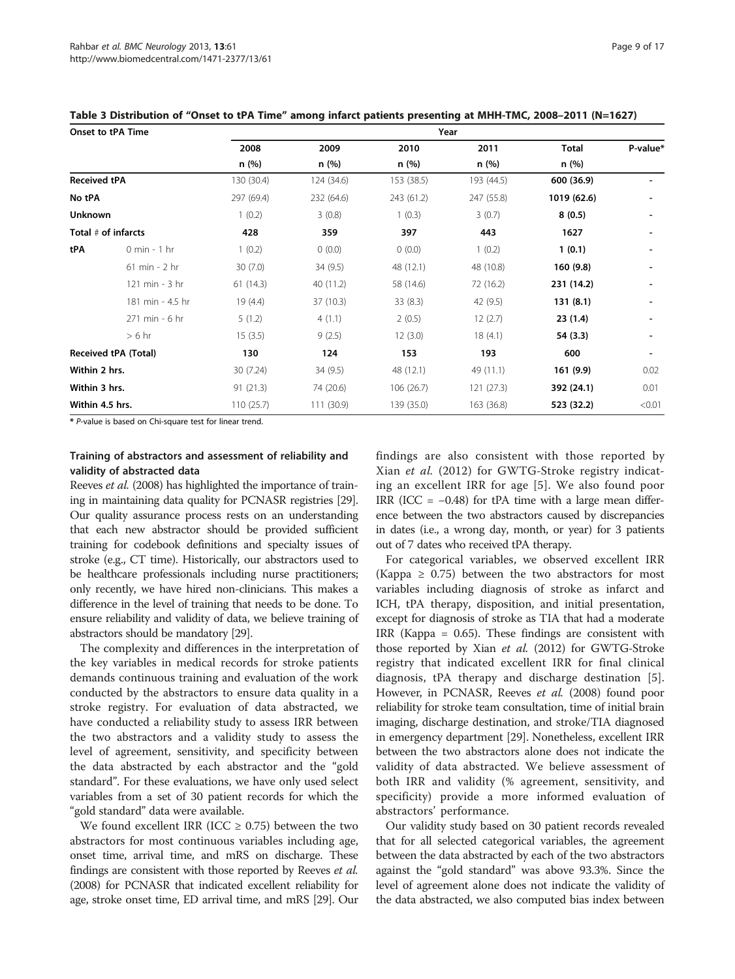|                                                                                                                                                            | Onset to tPA Time    | Year       |            |            |            |             |          |  |  |  |  |  |
|------------------------------------------------------------------------------------------------------------------------------------------------------------|----------------------|------------|------------|------------|------------|-------------|----------|--|--|--|--|--|
|                                                                                                                                                            |                      | 2008       | 2009       | 2010       | 2011       | Total       | P-value* |  |  |  |  |  |
| <b>Received tPA</b><br>No tPA<br><b>Unknown</b><br>Total # of infarcts<br>tPA<br>$0$ min - $1$ hr<br>$61$ min - 2 hr<br>121 min - 3 hr<br>181 min - 4.5 hr |                      | n(%)       | n(%)       | n(%)       | n (%)      | n(%)        |          |  |  |  |  |  |
|                                                                                                                                                            |                      | 130 (30.4) | 124 (34.6) | 153 (38.5) | 193 (44.5) | 600 (36.9)  |          |  |  |  |  |  |
|                                                                                                                                                            |                      | 297 (69.4) | 232 (64.6) | 243 (61.2) | 247 (55.8) | 1019 (62.6) |          |  |  |  |  |  |
|                                                                                                                                                            |                      | 1(0.2)     | 3(0.8)     | 1(0.3)     | 3(0.7)     | 8(0.5)      |          |  |  |  |  |  |
|                                                                                                                                                            |                      | 428        | 359        | 397        | 443        | 1627        |          |  |  |  |  |  |
|                                                                                                                                                            |                      | 1(0.2)     | 0(0.0)     | 0(0.0)     | 1(0.2)     | 1(0.1)      |          |  |  |  |  |  |
|                                                                                                                                                            |                      | 30(7.0)    | 34(9.5)    | 48 (12.1)  | 48 (10.8)  | 160 (9.8)   |          |  |  |  |  |  |
|                                                                                                                                                            |                      | 61(14.3)   | 40 (11.2)  | 58 (14.6)  | 72 (16.2)  | 231 (14.2)  |          |  |  |  |  |  |
|                                                                                                                                                            |                      | 19 (4.4)   | 37 (10.3)  | 33(8.3)    | 42 (9.5)   | 131(8.1)    |          |  |  |  |  |  |
|                                                                                                                                                            | 271 min - 6 hr       | 5(1.2)     | 4(1.1)     | 2(0.5)     | 12(2.7)    | 23(1.4)     |          |  |  |  |  |  |
|                                                                                                                                                            | $> 6$ hr             | 15(3.5)    | 9(2.5)     | 12(3.0)    | 18(4.1)    | 54 (3.3)    |          |  |  |  |  |  |
|                                                                                                                                                            | Received tPA (Total) | 130        | 124        | 153        | 193        | 600         |          |  |  |  |  |  |
| Within 2 hrs.                                                                                                                                              |                      | 30 (7.24)  | 34(9.5)    | 48 (12.1)  | 49 (11.1)  | 161 (9.9)   | 0.02     |  |  |  |  |  |
| Within 3 hrs.                                                                                                                                              |                      | 91(21.3)   | 74 (20.6)  | 106 (26.7) | 121(27.3)  | 392 (24.1)  | 0.01     |  |  |  |  |  |
| Within 4.5 hrs.                                                                                                                                            |                      | 110(25.7)  | 111 (30.9) | 139 (35.0) | 163 (36.8) | 523 (32.2)  | < 0.01   |  |  |  |  |  |

<span id="page-8-0"></span>Table 3 Distribution of "Onset to tPA Time" among infarct patients presenting at MHH-TMC, 2008–2011 (N=1627)

\* P-value is based on Chi-square test for linear trend.

# Training of abstractors and assessment of reliability and validity of abstracted data

Reeves et al. (2008) has highlighted the importance of training in maintaining data quality for PCNASR registries [\[29](#page-15-0)]. Our quality assurance process rests on an understanding that each new abstractor should be provided sufficient training for codebook definitions and specialty issues of stroke (e.g., CT time). Historically, our abstractors used to be healthcare professionals including nurse practitioners; only recently, we have hired non-clinicians. This makes a difference in the level of training that needs to be done. To ensure reliability and validity of data, we believe training of abstractors should be mandatory [\[29\]](#page-15-0).

The complexity and differences in the interpretation of the key variables in medical records for stroke patients demands continuous training and evaluation of the work conducted by the abstractors to ensure data quality in a stroke registry. For evaluation of data abstracted, we have conducted a reliability study to assess IRR between the two abstractors and a validity study to assess the level of agreement, sensitivity, and specificity between the data abstracted by each abstractor and the "gold standard". For these evaluations, we have only used select variables from a set of 30 patient records for which the "gold standard" data were available.

We found excellent IRR (ICC  $\geq$  0.75) between the two abstractors for most continuous variables including age, onset time, arrival time, and mRS on discharge. These findings are consistent with those reported by Reeves et al. (2008) for PCNASR that indicated excellent reliability for age, stroke onset time, ED arrival time, and mRS [[29](#page-15-0)]. Our

findings are also consistent with those reported by Xian et al. (2012) for GWTG-Stroke registry indicating an excellent IRR for age [[5\]](#page-14-0). We also found poor IRR (ICC =  $-0.48$ ) for tPA time with a large mean difference between the two abstractors caused by discrepancies in dates (i.e., a wrong day, month, or year) for 3 patients out of 7 dates who received tPA therapy.

For categorical variables, we observed excellent IRR (Kappa  $\geq$  0.75) between the two abstractors for most variables including diagnosis of stroke as infarct and ICH, tPA therapy, disposition, and initial presentation, except for diagnosis of stroke as TIA that had a moderate IRR (Kappa = 0.65). These findings are consistent with those reported by Xian et al. (2012) for GWTG-Stroke registry that indicated excellent IRR for final clinical diagnosis, tPA therapy and discharge destination [\[5](#page-14-0)]. However, in PCNASR, Reeves et al. (2008) found poor reliability for stroke team consultation, time of initial brain imaging, discharge destination, and stroke/TIA diagnosed in emergency department [[29](#page-15-0)]. Nonetheless, excellent IRR between the two abstractors alone does not indicate the validity of data abstracted. We believe assessment of both IRR and validity (% agreement, sensitivity, and specificity) provide a more informed evaluation of abstractors' performance.

Our validity study based on 30 patient records revealed that for all selected categorical variables, the agreement between the data abstracted by each of the two abstractors against the "gold standard" was above 93.3%. Since the level of agreement alone does not indicate the validity of the data abstracted, we also computed bias index between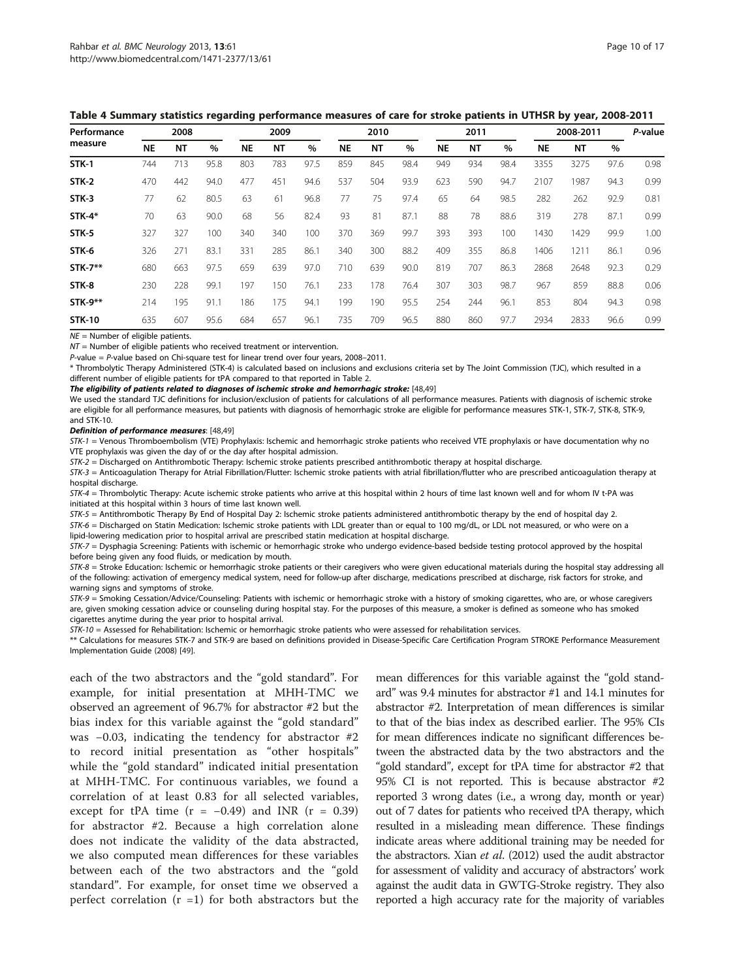#### <span id="page-9-0"></span>Table 4 Summary statistics regarding performance measures of care for stroke patients in UTHSR by year, 2008-2011

| Performance<br>measure | 2008      |           |      | 2009      |           |      |           | 2010      |      |           | 2011      |      |           | 2008-2011 |      |      |  |
|------------------------|-----------|-----------|------|-----------|-----------|------|-----------|-----------|------|-----------|-----------|------|-----------|-----------|------|------|--|
|                        | <b>NE</b> | <b>NT</b> | %    | <b>NE</b> | <b>NT</b> | $\%$ | <b>NE</b> | <b>NT</b> | $\%$ | <b>NE</b> | <b>NT</b> | %    | <b>NE</b> | <b>NT</b> | %    |      |  |
| $STK-1$                | 744       | 713       | 95.8 | 803       | 783       | 97.5 | 859       | 845       | 98.4 | 949       | 934       | 98.4 | 3355      | 3275      | 97.6 | 0.98 |  |
| STK-2                  | 470       | 442       | 94.0 | 477       | 451       | 94.6 | 537       | 504       | 93.9 | 623       | 590       | 94.7 | 2107      | 1987      | 94.3 | 0.99 |  |
| STK-3                  | 77        | 62        | 80.5 | 63        | 61        | 96.8 | 77        | 75        | 97.4 | 65        | 64        | 98.5 | 282       | 262       | 92.9 | 0.81 |  |
| $STK-4*$               | 70        | 63        | 90.0 | 68        | 56        | 82.4 | 93        | 81        | 87.1 | 88        | 78        | 88.6 | 319       | 278       | 87.1 | 0.99 |  |
| STK-5                  | 327       | 327       | 100  | 340       | 340       | 100  | 370       | 369       | 99.7 | 393       | 393       | 100  | 1430      | 1429      | 99.9 | 1.00 |  |
| STK-6                  | 326       | 271       | 83.1 | 331       | 285       | 86.1 | 340       | 300       | 88.2 | 409       | 355       | 86.8 | 1406      | 1211      | 86.1 | 0.96 |  |
| <b>STK-7**</b>         | 680       | 663       | 97.5 | 659       | 639       | 97.0 | 710       | 639       | 90.0 | 819       | 707       | 86.3 | 2868      | 2648      | 92.3 | 0.29 |  |
| STK-8                  | 230       | 228       | 99.1 | 197       | 150       | 76.1 | 233       | 178       | 76.4 | 307       | 303       | 98.7 | 967       | 859       | 88.8 | 0.06 |  |
| <b>STK-9**</b>         | 214       | 195       | 91.1 | 186       | 175       | 94.1 | 199       | 190       | 95.5 | 254       | 244       | 96.1 | 853       | 804       | 94.3 | 0.98 |  |
| <b>STK-10</b>          | 635       | 607       | 95.6 | 684       | 657       | 96.1 | 735       | 709       | 96.5 | 880       | 860       | 97.7 | 2934      | 2833      | 96.6 | 0.99 |  |

 $NE =$  Number of eligible patients.

 $NT =$  Number of eligible patients who received treatment or intervention.

 $P$ -value =  $P$ -value based on Chi-square test for linear trend over four years, 2008–2011.

\* Thrombolytic Therapy Administered (STK-4) is calculated based on inclusions and exclusions criteria set by The Joint Commission (TJC), which resulted in a different number of eligible patients for tPA compared to that reported in Table [2](#page-6-0).

The eligibility of patients related to diagnoses of ischemic stroke and hemorrhagic stroke: [[48](#page-14-0)[,49\]](#page-15-0)

We used the standard TJC definitions for inclusion/exclusion of patients for calculations of all performance measures. Patients with diagnosis of ischemic stroke are eligible for all performance measures, but patients with diagnosis of hemorrhagic stroke are eligible for performance measures STK-1, STK-7, STK-8, STK-9, and STK-10.

Definition of performance measures: [\[48](#page-14-0),[49\]](#page-15-0)

STK-1 = Venous Thromboembolism (VTE) Prophylaxis: Ischemic and hemorrhagic stroke patients who received VTE prophylaxis or have documentation why no VTE prophylaxis was given the day of or the day after hospital admission.

STK-2 = Discharged on Antithrombotic Therapy: Ischemic stroke patients prescribed antithrombotic therapy at hospital discharge.

STK-3 = Anticoagulation Therapy for Atrial Fibrillation/Flutter: Ischemic stroke patients with atrial fibrillation/flutter who are prescribed anticoagulation therapy at hospital discharge.

STK-4 = Thrombolytic Therapy: Acute ischemic stroke patients who arrive at this hospital within 2 hours of time last known well and for whom IV t-PA was initiated at this hospital within 3 hours of time last known well.

STK-5 = Antithrombotic Therapy By End of Hospital Day 2: Ischemic stroke patients administered antithrombotic therapy by the end of hospital day 2. STK-6 = Discharged on Statin Medication: Ischemic stroke patients with LDL greater than or equal to 100 mg/dL, or LDL not measured, or who were on a

lipid-lowering medication prior to hospital arrival are prescribed statin medication at hospital discharge.

STK-7 = Dysphagia Screening: Patients with ischemic or hemorrhagic stroke who undergo evidence-based bedside testing protocol approved by the hospital before being given any food fluids, or medication by mouth.

STK-8 = Stroke Education: Ischemic or hemorrhagic stroke patients or their caregivers who were given educational materials during the hospital stay addressing all of the following: activation of emergency medical system, need for follow-up after discharge, medications prescribed at discharge, risk factors for stroke, and warning signs and symptoms of stroke.

STK-9 = Smoking Cessation/Advice/Counseling: Patients with ischemic or hemorrhagic stroke with a history of smoking cigarettes, who are, or whose caregivers are, given smoking cessation advice or counseling during hospital stay. For the purposes of this measure, a smoker is defined as someone who has smoked cigarettes anytime during the year prior to hospital arrival.

STK-10 = Assessed for Rehabilitation: Ischemic or hemorrhagic stroke patients who were assessed for rehabilitation services.

\*\* Calculations for measures STK-7 and STK-9 are based on definitions provided in Disease-Specific Care Certification Program STROKE Performance Measurement Implementation Guide (2008) [[49\]](#page-15-0).

each of the two abstractors and the "gold standard". For example, for initial presentation at MHH-TMC we observed an agreement of 96.7% for abstractor #2 but the bias index for this variable against the "gold standard" was −0.03, indicating the tendency for abstractor #2 to record initial presentation as "other hospitals" while the "gold standard" indicated initial presentation at MHH-TMC. For continuous variables, we found a correlation of at least 0.83 for all selected variables, except for tPA time  $(r = -0.49)$  and INR  $(r = 0.39)$ for abstractor #2. Because a high correlation alone does not indicate the validity of the data abstracted, we also computed mean differences for these variables between each of the two abstractors and the "gold standard". For example, for onset time we observed a perfect correlation  $(r = 1)$  for both abstractors but the

mean differences for this variable against the "gold standard" was 9.4 minutes for abstractor #1 and 14.1 minutes for abstractor #2. Interpretation of mean differences is similar to that of the bias index as described earlier. The 95% CIs for mean differences indicate no significant differences between the abstracted data by the two abstractors and the "gold standard", except for tPA time for abstractor #2 that 95% CI is not reported. This is because abstractor #2 reported 3 wrong dates (i.e., a wrong day, month or year) out of 7 dates for patients who received tPA therapy, which resulted in a misleading mean difference. These findings indicate areas where additional training may be needed for the abstractors. Xian et al. (2012) used the audit abstractor for assessment of validity and accuracy of abstractors' work against the audit data in GWTG-Stroke registry. They also reported a high accuracy rate for the majority of variables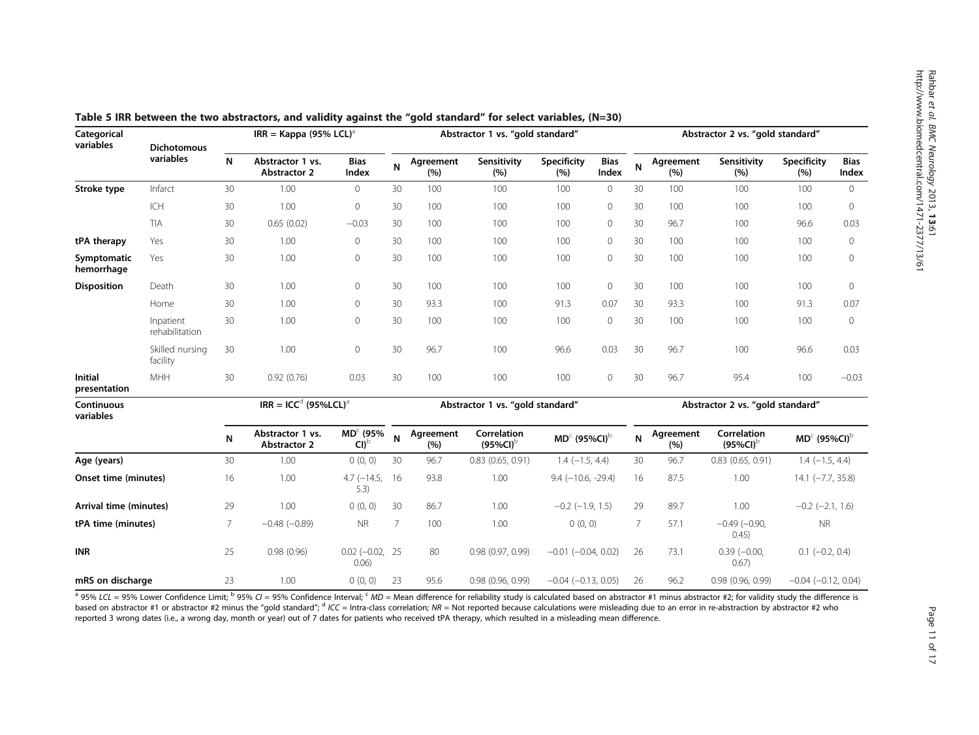| Categorical<br>variables       | <b>Dichotomous</b>          |    | IRR = Kappa (95% LCL) <sup>a</sup>      |                             |    |                  | Abstractor 1 vs. "gold standard" |                            |                      |                |                  | Abstractor 2 vs. "gold standard" |                            |                      |
|--------------------------------|-----------------------------|----|-----------------------------------------|-----------------------------|----|------------------|----------------------------------|----------------------------|----------------------|----------------|------------------|----------------------------------|----------------------------|----------------------|
|                                | variables                   | N  | Abstractor 1 vs.<br><b>Abstractor 2</b> | <b>Bias</b><br><b>Index</b> | N  | Agreement<br>(%) | Sensitivity<br>(%)               | <b>Specificity</b><br>(%)  | <b>Bias</b><br>Index | N              | Agreement<br>(%) | Sensitivity<br>(%)               | Specificity<br>(%)         | <b>Bias</b><br>Index |
| Stroke type                    | Infarct                     | 30 | 1.00                                    | $\circ$                     | 30 | 100              | 100                              | 100                        | $\circ$              | 30             | 100              | 100                              | 100                        | $\circ$              |
|                                | ICH                         | 30 | 1.00                                    | $\mathbf{0}$                | 30 | 100              | 100                              | 100                        | $\mathbf{0}$         | 30             | 100              | 100                              | 100                        | $\circ$              |
|                                | TIA                         | 30 | 0.65(0.02)                              | $-0.03$                     | 30 | 100              | 100                              | 100                        | $\mathbf{0}$         | 30             | 96.7             | 100                              | 96.6                       | 0.03                 |
| tPA therapy                    | Yes                         | 30 | 1.00                                    | $\mathbf{0}$                | 30 | 100              | 100                              | 100                        | $\mathbf{0}$         | 30             | 100              | 100                              | 100                        | $\circ$              |
| Symptomatic<br>hemorrhage      | Yes                         | 30 | 1.00                                    | 0                           | 30 | 100              | 100                              | 100                        | $\mathbf 0$          | 30             | 100              | 100                              | 100                        | $\circ$              |
| <b>Disposition</b>             | Death                       | 30 | 1.00                                    | $\circ$                     | 30 | 100              | 100                              | 100                        | $\mathbf{0}$         | 30             | 100              | 100                              | 100                        | $\circ$              |
|                                | Home                        | 30 | 1.00                                    | 0                           | 30 | 93.3             | 100                              | 91.3                       | 0.07                 | 30             | 93.3             | 100                              | 91.3                       | 0.07                 |
|                                | Inpatient<br>rehabilitation | 30 | 1.00                                    | 0                           | 30 | 100              | 100                              | 100                        | $\mathbf 0$          | 30             | 100              | 100                              | 100                        | $\circ$              |
|                                | Skilled nursing<br>facility | 30 | 1.00                                    | 0                           | 30 | 96.7             | 100                              | 96.6                       | 0.03                 | 30             | 96.7             | 100                              | 96.6                       | 0.03                 |
| <b>Initial</b><br>presentation | <b>MHH</b>                  | 30 | 0.92(0.76)                              | 0.03                        | 30 | 100              | 100                              | 100                        | $\mathbf{0}$         | 30             | 96.7             | 95.4                             | 100                        | $-0.03$              |
| <b>Continuous</b><br>variables |                             |    | $IRR = ICC^d (95\% LCL)^a$              |                             |    |                  | Abstractor 1 vs. "gold standard" |                            |                      |                |                  | Abstractor 2 vs. "gold standard" |                            |                      |
|                                |                             | N  | Abstractor 1 vs.<br><b>Abstractor 2</b> | $MDc$ (95%<br>$CD^{\circ}$  | N  | Agreement<br>(%) | Correlation<br>$(95\%CI)^{b}$    | $MDc$ (95%CI) <sup>b</sup> |                      | N              | Agreement<br>(%) | Correlation<br>$(95\%CI)^{b}$    | $MDc$ (95%CI) <sup>b</sup> |                      |
| Age (years)                    |                             | 30 | 1.00                                    | 0(0, 0)                     | 30 | 96.7             | $0.83$ $(0.65, 0.91)$            | $1.4 (-1.5, 4.4)$          |                      | 30             | 96.7             | 0.83 (0.65, 0.91)                | $1.4 (-1.5, 4.4)$          |                      |
| Onset time (minutes)           |                             | 16 | 1.00                                    | $4.7(-14.5, 16)$<br>5.3)    |    | 93.8             | 1.00                             | $9.4 (-10.6, -29.4)$       |                      | 16             | 87.5             | 1.00                             | $14.1$ $(-7.7, 35.8)$      |                      |
| Arrival time (minutes)         |                             | 29 | 1.00                                    | 0(0, 0)                     | 30 | 86.7             | 1.00                             | $-0.2$ ( $-1.9$ , 1.5)     |                      | 29             | 89.7             | 1.00                             | $-0.2$ $(-2.1, 1.6)$       |                      |
| tPA time (minutes)             |                             | 7  | $-0.48$ $(-0.89)$                       | <b>NR</b>                   | 7  | 100              | 1.00                             | 0(0, 0)                    |                      | $\overline{7}$ | 57.1             | $-0.49(-0.90,$<br>0.45)          | <b>NR</b>                  |                      |
| <b>INR</b>                     |                             | 25 | 0.98(0.96)                              | $0.02 (-0.02, 25)$<br>0.06) |    | 80               | 0.98 (0.97, 0.99)                | $-0.01$ $(-0.04, 0.02)$    |                      | 26             | 73.1             | $0.39(-0.00,$<br>0.67)           | $0.1$ (-0.2, 0.4)          |                      |
| mRS on discharge               |                             | 23 | 1.00                                    | 0(0, 0)                     | 23 | 95.6             | $0.98$ $(0.96, 0.99)$            | $-0.04$ $(-0.13, 0.05)$    |                      | 26             | 96.2             | 0.98(0.96, 0.99)                 | $-0.04$ $(-0.12, 0.04)$    |                      |

<span id="page-10-0"></span>Table 5 IRR between the two abstractors, and validity against the "gold standard" for select variables, (N=30)

 $a$  95% LCL = 95% Lower Confidence Limit; <sup>b</sup> 95% CI = 95% Confidence Interval; <sup>c</sup> MD = Mean difference for reliability study is calculated based on abstractor #1 minus abstractor #2; for validity study the difference is based on abstractor #1 or abstractor #2 minus the "gold standard";  $d$  ICC = Intra-class correlation; NR = Not reported because calculations were misleading due to an error in re-abstraction by abstractor #2 who reported 3 wrong dates (i.e., a wrong day, month or year) out of 7 dates for patients who received tPA therapy, which resulted in a misleading mean difference.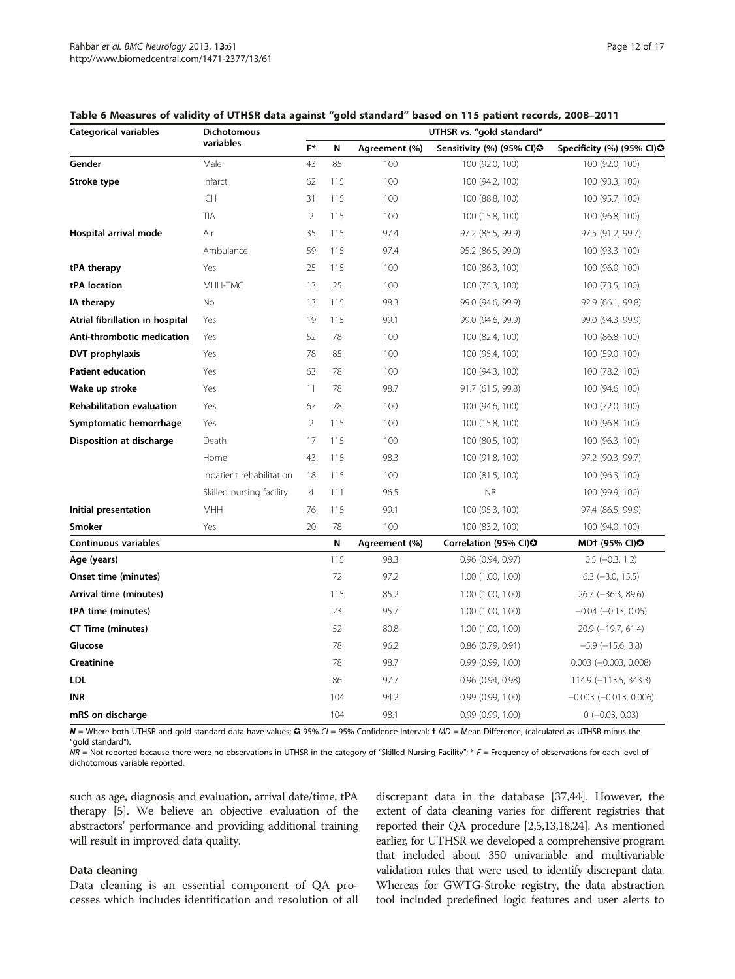| <b>Categorical variables</b>     | <b>Dichotomous</b>       | UTHSR vs. "gold standard" |     |               |                          |                                |  |  |  |  |
|----------------------------------|--------------------------|---------------------------|-----|---------------|--------------------------|--------------------------------|--|--|--|--|
|                                  | variables                | F*                        | N   | Agreement (%) | Sensitivity (%) (95% CI) | Specificity (%) (95% CI)©      |  |  |  |  |
| Gender                           | Male                     | 43                        | 85  | 100           | 100 (92.0, 100)          | 100 (92.0, 100)                |  |  |  |  |
| Stroke type                      | Infarct                  | 62                        | 115 | 100           | 100 (94.2, 100)          | 100 (93.3, 100)                |  |  |  |  |
|                                  | <b>ICH</b>               | 31                        | 115 | 100           | 100 (88.8, 100)          | 100 (95.7, 100)                |  |  |  |  |
|                                  | <b>TIA</b>               | $\overline{2}$            | 115 | 100           | 100 (15.8, 100)          | 100 (96.8, 100)                |  |  |  |  |
| Hospital arrival mode            | Air                      | 35                        | 115 | 97.4          | 97.2 (85.5, 99.9)        | 97.5 (91.2, 99.7)              |  |  |  |  |
|                                  | Ambulance                | 59                        | 115 | 97.4          | 95.2 (86.5, 99.0)        | 100 (93.3, 100)                |  |  |  |  |
| tPA therapy                      | Yes                      | 25                        | 115 | 100           | 100 (86.3, 100)          | 100 (96.0, 100)                |  |  |  |  |
| tPA location                     | MHH-TMC                  | 13                        | 25  | 100           | 100 (75.3, 100)          | 100 (73.5, 100)                |  |  |  |  |
| IA therapy                       | No                       | 13                        | 115 | 98.3          | 99.0 (94.6, 99.9)        | 92.9 (66.1, 99.8)              |  |  |  |  |
| Atrial fibrillation in hospital  | Yes                      | 19                        | 115 | 99.1          | 99.0 (94.6, 99.9)        | 99.0 (94.3, 99.9)              |  |  |  |  |
| Anti-thrombotic medication       | Yes                      | 52                        | 78  | 100           | 100 (82.4, 100)          | 100 (86.8, 100)                |  |  |  |  |
| DVT prophylaxis                  | Yes                      | 78                        | 85  | 100           | 100 (95.4, 100)          | 100 (59.0, 100)                |  |  |  |  |
| <b>Patient education</b>         | Yes                      | 63                        | 78  | 100           | 100 (94.3, 100)          | 100 (78.2, 100)                |  |  |  |  |
| Wake up stroke                   | Yes                      | 11                        | 78  | 98.7          | 91.7 (61.5, 99.8)        | 100 (94.6, 100)                |  |  |  |  |
| <b>Rehabilitation evaluation</b> | Yes                      | 67                        | 78  | 100           | 100 (94.6, 100)          | 100 (72.0, 100)                |  |  |  |  |
| Symptomatic hemorrhage           | Yes                      | $\overline{2}$            | 115 | 100           | 100 (15.8, 100)          | 100 (96.8, 100)                |  |  |  |  |
| Disposition at discharge         | Death                    | 17                        | 115 | 100           | 100 (80.5, 100)          | 100 (96.3, 100)                |  |  |  |  |
|                                  | Home                     | 43                        | 115 | 98.3          | 100 (91.8, 100)          | 97.2 (90.3, 99.7)              |  |  |  |  |
|                                  | Inpatient rehabilitation | 18                        | 115 | 100           | 100 (81.5, 100)          | 100 (96.3, 100)                |  |  |  |  |
|                                  | Skilled nursing facility | $\overline{4}$            | 111 | 96.5          | <b>NR</b>                | 100 (99.9, 100)                |  |  |  |  |
| Initial presentation             | MHH                      | 76                        | 115 | 99.1          | 100 (95.3, 100)          | 97.4 (86.5, 99.9)              |  |  |  |  |
| <b>Smoker</b>                    | Yes                      | 20                        | 78  | 100           | 100 (83.2, 100)          | 100 (94.0, 100)                |  |  |  |  |
| Continuous variables             |                          |                           | N   | Agreement (%) | Correlation (95% CI)     | MD† (95% CI)۞                  |  |  |  |  |
| Age (years)                      |                          |                           | 115 | 98.3          | 0.96 (0.94, 0.97)        | $0.5$ (-0.3, 1.2)              |  |  |  |  |
| Onset time (minutes)             |                          |                           | 72  | 97.2          | 1.00(1.00, 1.00)         | $6.3$ ( $-3.0$ , 15.5)         |  |  |  |  |
| Arrival time (minutes)           |                          |                           | 115 | 85.2          | 1.00 (1.00, 1.00)        | 26.7 (-36.3, 89.6)             |  |  |  |  |
| tPA time (minutes)               |                          |                           | 23  | 95.7          | 1.00(1.00, 1.00)         | $-0.04$ $(-0.13, 0.05)$        |  |  |  |  |
| <b>CT Time (minutes)</b>         |                          |                           | 52  | 80.8          | 1.00(1.00, 1.00)         | $20.9$ (-19.7, 61.4)           |  |  |  |  |
| Glucose                          |                          |                           | 78  | 96.2          | 0.86 (0.79, 0.91)        | $-5.9$ ( $-15.6$ , 3.8)        |  |  |  |  |
| Creatinine                       |                          |                           | 78  | 98.7          | 0.99(0.99, 1.00)         | $0.003$ ( $-0.003$ , $0.008$ ) |  |  |  |  |
| <b>LDL</b>                       |                          |                           | 86  | 97.7          | 0.96(0.94, 0.98)         | $114.9$ (-113.5, 343.3)        |  |  |  |  |
| <b>INR</b>                       |                          |                           | 104 | 94.2          | 0.99(0.99, 1.00)         | $-0.003$ $(-0.013, 0.006)$     |  |  |  |  |
| mRS on discharge                 |                          |                           | 104 | 98.1          | 0.99(0.99, 1.00)         | $0 (-0.03, 0.03)$              |  |  |  |  |

<span id="page-11-0"></span>

| Table 6 Measures of validity of UTHSR data against "gold standard" based on 115 patient records, 2008-2011 |  |  |  |
|------------------------------------------------------------------------------------------------------------|--|--|--|
|------------------------------------------------------------------------------------------------------------|--|--|--|

N = Where both UTHSR and gold standard data have values; **☉** 95% CI = 95% Confidence Interval; † MD = Mean Difference, (calculated as UTHSR minus the "gold standard").

 $N =$  Not reported because there were no observations in UTHSR in the category of "Skilled Nursing Facility";  $*$  F = Frequency of observations for each level of dichotomous variable reported.

such as age, diagnosis and evaluation, arrival date/time, tPA therapy [\[5\]](#page-14-0). We believe an objective evaluation of the abstractors' performance and providing additional training will result in improved data quality.

#### Data cleaning

Data cleaning is an essential component of QA processes which includes identification and resolution of all discrepant data in the database [[37,44\]](#page-15-0). However, the extent of data cleaning varies for different registries that reported their QA procedure [\[2,5,13,](#page-14-0)[18,24](#page-15-0)]. As mentioned earlier, for UTHSR we developed a comprehensive program that included about 350 univariable and multivariable validation rules that were used to identify discrepant data. Whereas for GWTG-Stroke registry, the data abstraction tool included predefined logic features and user alerts to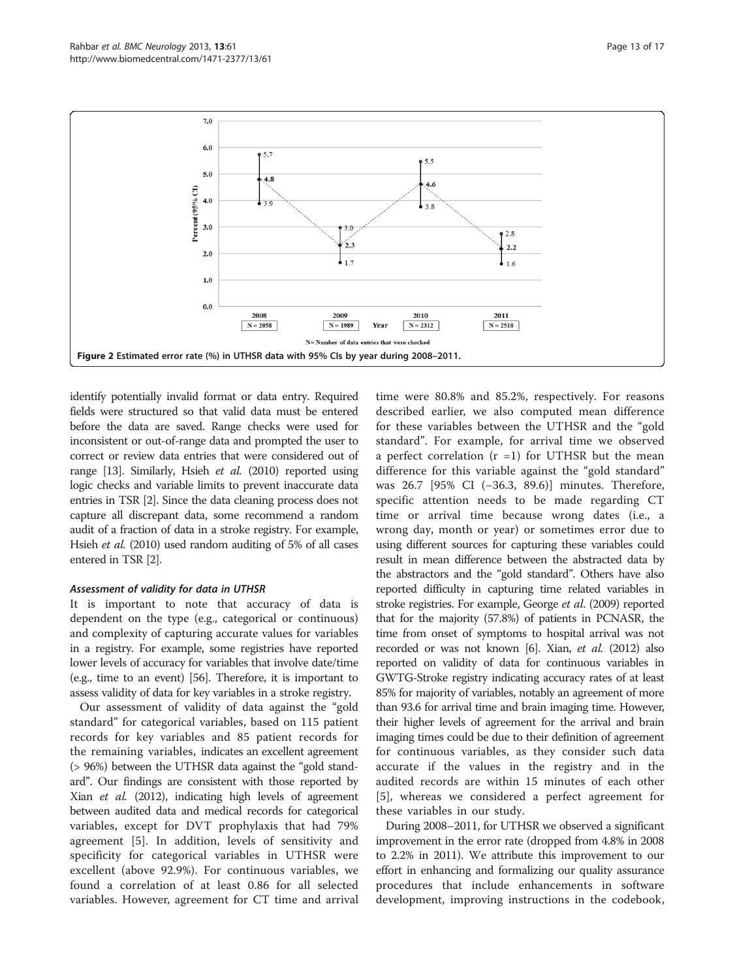<span id="page-12-0"></span>

identify potentially invalid format or data entry. Required fields were structured so that valid data must be entered before the data are saved. Range checks were used for inconsistent or out-of-range data and prompted the user to correct or review data entries that were considered out of range [\[13\]](#page-14-0). Similarly, Hsieh et al. (2010) reported using logic checks and variable limits to prevent inaccurate data entries in TSR [\[2\]](#page-14-0). Since the data cleaning process does not capture all discrepant data, some recommend a random audit of a fraction of data in a stroke registry. For example, Hsieh et al. (2010) used random auditing of 5% of all cases entered in TSR [[2](#page-14-0)].

#### Assessment of validity for data in UTHSR

It is important to note that accuracy of data is dependent on the type (e.g., categorical or continuous) and complexity of capturing accurate values for variables in a registry. For example, some registries have reported lower levels of accuracy for variables that involve date/time (e.g., time to an event) [\[56\]](#page-15-0). Therefore, it is important to assess validity of data for key variables in a stroke registry.

Our assessment of validity of data against the "gold standard" for categorical variables, based on 115 patient records for key variables and 85 patient records for the remaining variables, indicates an excellent agreement (> 96%) between the UTHSR data against the "gold standard". Our findings are consistent with those reported by Xian et al. (2012), indicating high levels of agreement between audited data and medical records for categorical variables, except for DVT prophylaxis that had 79% agreement [[5\]](#page-14-0). In addition, levels of sensitivity and specificity for categorical variables in UTHSR were excellent (above 92.9%). For continuous variables, we found a correlation of at least 0.86 for all selected variables. However, agreement for CT time and arrival

time were 80.8% and 85.2%, respectively. For reasons described earlier, we also computed mean difference for these variables between the UTHSR and the "gold standard". For example, for arrival time we observed a perfect correlation  $(r = 1)$  for UTHSR but the mean difference for this variable against the "gold standard" was 26.7 [95% CI (−36.3, 89.6)] minutes. Therefore, specific attention needs to be made regarding CT time or arrival time because wrong dates (i.e., a wrong day, month or year) or sometimes error due to using different sources for capturing these variables could result in mean difference between the abstracted data by the abstractors and the "gold standard". Others have also reported difficulty in capturing time related variables in stroke registries. For example, George et al. (2009) reported that for the majority (57.8%) of patients in PCNASR, the time from onset of symptoms to hospital arrival was not recorded or was not known [[6](#page-14-0)]. Xian, et al. (2012) also reported on validity of data for continuous variables in GWTG-Stroke registry indicating accuracy rates of at least 85% for majority of variables, notably an agreement of more than 93.6 for arrival time and brain imaging time. However, their higher levels of agreement for the arrival and brain imaging times could be due to their definition of agreement for continuous variables, as they consider such data accurate if the values in the registry and in the audited records are within 15 minutes of each other [[5\]](#page-14-0), whereas we considered a perfect agreement for these variables in our study.

During 2008–2011, for UTHSR we observed a significant improvement in the error rate (dropped from 4.8% in 2008 to 2.2% in 2011). We attribute this improvement to our effort in enhancing and formalizing our quality assurance procedures that include enhancements in software development, improving instructions in the codebook,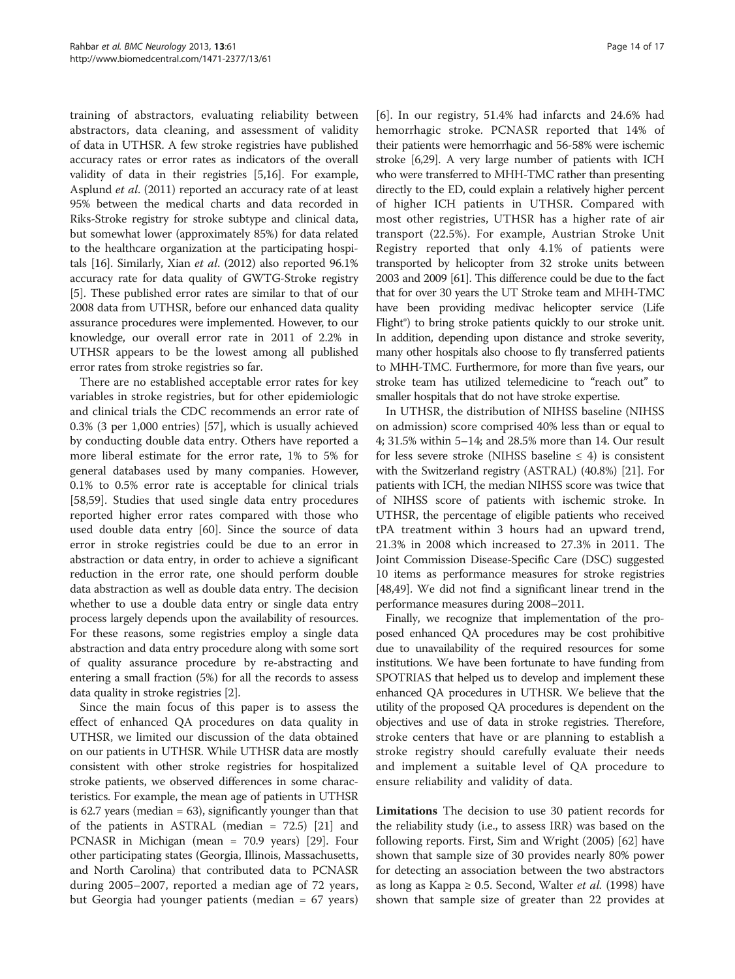training of abstractors, evaluating reliability between abstractors, data cleaning, and assessment of validity of data in UTHSR. A few stroke registries have published accuracy rates or error rates as indicators of the overall validity of data in their registries [[5,](#page-14-0)[16](#page-15-0)]. For example, Asplund et al. (2011) reported an accuracy rate of at least 95% between the medical charts and data recorded in Riks-Stroke registry for stroke subtype and clinical data, but somewhat lower (approximately 85%) for data related to the healthcare organization at the participating hospitals [[16](#page-15-0)]. Similarly, Xian et al. (2012) also reported 96.1% accuracy rate for data quality of GWTG-Stroke registry [[5\]](#page-14-0). These published error rates are similar to that of our 2008 data from UTHSR, before our enhanced data quality assurance procedures were implemented. However, to our knowledge, our overall error rate in 2011 of 2.2% in UTHSR appears to be the lowest among all published error rates from stroke registries so far.

There are no established acceptable error rates for key variables in stroke registries, but for other epidemiologic and clinical trials the CDC recommends an error rate of 0.3% (3 per 1,000 entries) [\[57](#page-15-0)], which is usually achieved by conducting double data entry. Others have reported a more liberal estimate for the error rate, 1% to 5% for general databases used by many companies. However, 0.1% to 0.5% error rate is acceptable for clinical trials [[58,59\]](#page-15-0). Studies that used single data entry procedures reported higher error rates compared with those who used double data entry [\[60](#page-16-0)]. Since the source of data error in stroke registries could be due to an error in abstraction or data entry, in order to achieve a significant reduction in the error rate, one should perform double data abstraction as well as double data entry. The decision whether to use a double data entry or single data entry process largely depends upon the availability of resources. For these reasons, some registries employ a single data abstraction and data entry procedure along with some sort of quality assurance procedure by re-abstracting and entering a small fraction (5%) for all the records to assess data quality in stroke registries [[2\]](#page-14-0).

Since the main focus of this paper is to assess the effect of enhanced QA procedures on data quality in UTHSR, we limited our discussion of the data obtained on our patients in UTHSR. While UTHSR data are mostly consistent with other stroke registries for hospitalized stroke patients, we observed differences in some characteristics. For example, the mean age of patients in UTHSR is 62.7 years (median  $= 63$ ), significantly younger than that of the patients in ASTRAL (median = 72.5) [[21](#page-15-0)] and PCNASR in Michigan (mean = 70.9 years) [\[29](#page-15-0)]. Four other participating states (Georgia, Illinois, Massachusetts, and North Carolina) that contributed data to PCNASR during 2005–2007, reported a median age of 72 years, but Georgia had younger patients (median = 67 years)

[[6\]](#page-14-0). In our registry, 51.4% had infarcts and 24.6% had hemorrhagic stroke. PCNASR reported that 14% of their patients were hemorrhagic and 56-58% were ischemic stroke [\[6,](#page-14-0)[29](#page-15-0)]. A very large number of patients with ICH who were transferred to MHH-TMC rather than presenting directly to the ED, could explain a relatively higher percent of higher ICH patients in UTHSR. Compared with most other registries, UTHSR has a higher rate of air transport (22.5%). For example, Austrian Stroke Unit Registry reported that only 4.1% of patients were transported by helicopter from 32 stroke units between 2003 and 2009 [\[61](#page-16-0)]. This difference could be due to the fact that for over 30 years the UT Stroke team and MHH-TMC have been providing medivac helicopter service (Life Flight<sup>®</sup>) to bring stroke patients quickly to our stroke unit. In addition, depending upon distance and stroke severity, many other hospitals also choose to fly transferred patients to MHH-TMC. Furthermore, for more than five years, our stroke team has utilized telemedicine to "reach out" to smaller hospitals that do not have stroke expertise.

In UTHSR, the distribution of NIHSS baseline (NIHSS on admission) score comprised 40% less than or equal to 4; 31.5% within 5–14; and 28.5% more than 14. Our result for less severe stroke (NIHSS baseline  $\leq 4$ ) is consistent with the Switzerland registry (ASTRAL) (40.8%) [[21](#page-15-0)]. For patients with ICH, the median NIHSS score was twice that of NIHSS score of patients with ischemic stroke. In UTHSR, the percentage of eligible patients who received tPA treatment within 3 hours had an upward trend, 21.3% in 2008 which increased to 27.3% in 2011. The Joint Commission Disease-Specific Care (DSC) suggested 10 items as performance measures for stroke registries [[48](#page-15-0),[49](#page-15-0)]. We did not find a significant linear trend in the performance measures during 2008–2011.

Finally, we recognize that implementation of the proposed enhanced QA procedures may be cost prohibitive due to unavailability of the required resources for some institutions. We have been fortunate to have funding from SPOTRIAS that helped us to develop and implement these enhanced QA procedures in UTHSR. We believe that the utility of the proposed QA procedures is dependent on the objectives and use of data in stroke registries. Therefore, stroke centers that have or are planning to establish a stroke registry should carefully evaluate their needs and implement a suitable level of QA procedure to ensure reliability and validity of data.

Limitations The decision to use 30 patient records for the reliability study (i.e., to assess IRR) was based on the following reports. First, Sim and Wright (2005) [\[62\]](#page-16-0) have shown that sample size of 30 provides nearly 80% power for detecting an association between the two abstractors as long as Kappa  $\geq 0.5$ . Second, Walter *et al.* (1998) have shown that sample size of greater than 22 provides at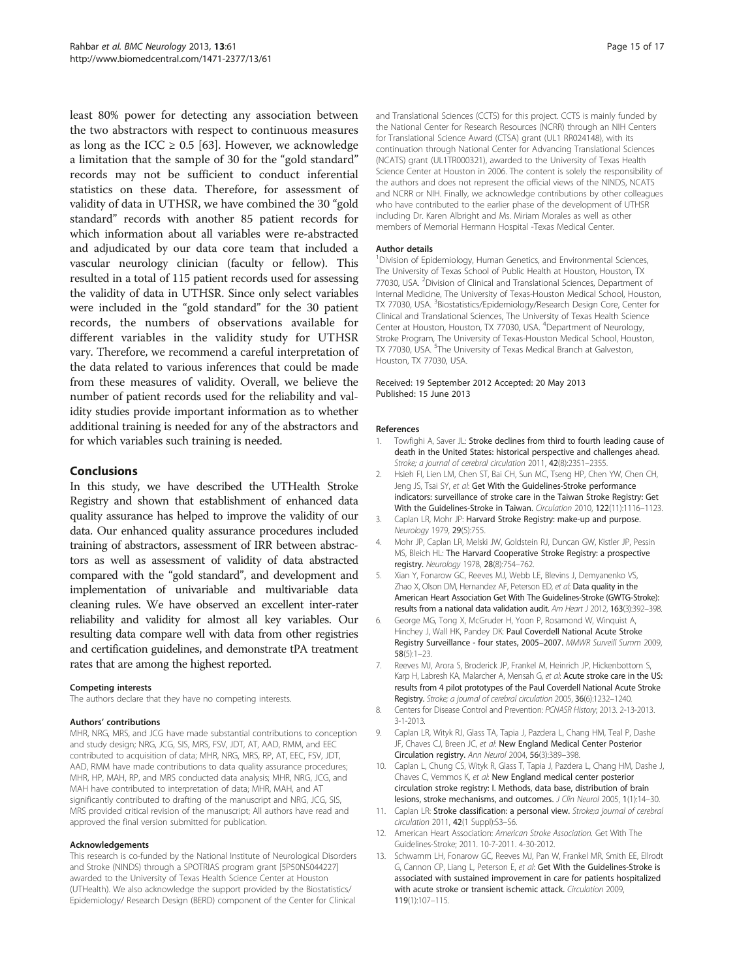<span id="page-14-0"></span>least 80% power for detecting any association between the two abstractors with respect to continuous measures as long as the ICC  $\geq$  0.5 [[63\]](#page-16-0). However, we acknowledge a limitation that the sample of 30 for the "gold standard" records may not be sufficient to conduct inferential statistics on these data. Therefore, for assessment of validity of data in UTHSR, we have combined the 30 "gold standard" records with another 85 patient records for which information about all variables were re-abstracted and adjudicated by our data core team that included a vascular neurology clinician (faculty or fellow). This resulted in a total of 115 patient records used for assessing the validity of data in UTHSR. Since only select variables were included in the "gold standard" for the 30 patient records, the numbers of observations available for different variables in the validity study for UTHSR vary. Therefore, we recommend a careful interpretation of the data related to various inferences that could be made from these measures of validity. Overall, we believe the number of patient records used for the reliability and validity studies provide important information as to whether additional training is needed for any of the abstractors and for which variables such training is needed.

# Conclusions

In this study, we have described the UTHealth Stroke Registry and shown that establishment of enhanced data quality assurance has helped to improve the validity of our data. Our enhanced quality assurance procedures included training of abstractors, assessment of IRR between abstractors as well as assessment of validity of data abstracted compared with the "gold standard", and development and implementation of univariable and multivariable data cleaning rules. We have observed an excellent inter-rater reliability and validity for almost all key variables. Our resulting data compare well with data from other registries and certification guidelines, and demonstrate tPA treatment rates that are among the highest reported.

#### Competing interests

The authors declare that they have no competing interests.

#### Authors' contributions

MHR, NRG, MRS, and JCG have made substantial contributions to conception and study design; NRG, JCG, SIS, MRS, FSV, JDT, AT, AAD, RMM, and EEC contributed to acquisition of data; MHR, NRG, MRS, RP, AT, EEC, FSV, JDT, AAD, RMM have made contributions to data quality assurance procedures; MHR, HP, MAH, RP, and MRS conducted data analysis; MHR, NRG, JCG, and MAH have contributed to interpretation of data; MHR, MAH, and AT significantly contributed to drafting of the manuscript and NRG, JCG, SIS, MRS provided critical revision of the manuscript; All authors have read and approved the final version submitted for publication.

#### Acknowledgements

This research is co-funded by the National Institute of Neurological Disorders and Stroke (NINDS) through a SPOTRIAS program grant [5P50NS044227] awarded to the University of Texas Health Science Center at Houston (UTHealth). We also acknowledge the support provided by the Biostatistics/ Epidemiology/ Research Design (BERD) component of the Center for Clinical

and Translational Sciences (CCTS) for this project. CCTS is mainly funded by the National Center for Research Resources (NCRR) through an NIH Centers for Translational Science Award (CTSA) grant (UL1 RR024148), with its continuation through National Center for Advancing Translational Sciences (NCATS) grant (UL1TR000321), awarded to the University of Texas Health Science Center at Houston in 2006. The content is solely the responsibility of the authors and does not represent the official views of the NINDS, NCATS and NCRR or NIH. Finally, we acknowledge contributions by other colleagues who have contributed to the earlier phase of the development of UTHSR including Dr. Karen Albright and Ms. Miriam Morales as well as other members of Memorial Hermann Hospital -Texas Medical Center.

#### Author details

<sup>1</sup> Division of Epidemiology, Human Genetics, and Environmental Sciences The University of Texas School of Public Health at Houston, Houston, TX 77030, USA. <sup>2</sup> Division of Clinical and Translational Sciences, Department of Internal Medicine, The University of Texas-Houston Medical School, Houston, TX 77030, USA. <sup>3</sup>Biostatistics/Epidemiology/Research Design Core, Center for Clinical and Translational Sciences, The University of Texas Health Science Center at Houston, Houston, TX 77030, USA. <sup>4</sup>Department of Neurology, Stroke Program, The University of Texas-Houston Medical School, Houston, TX 77030, USA. <sup>5</sup>The University of Texas Medical Branch at Galveston, Houston, TX 77030, USA.

#### Received: 19 September 2012 Accepted: 20 May 2013 Published: 15 June 2013

#### References

- Towfighi A, Saver JL: Stroke declines from third to fourth leading cause of death in the United States: historical perspective and challenges ahead. Stroke; a journal of cerebral circulation 2011, 42(8):2351-2355.
- Hsieh FI, Lien LM, Chen ST, Bai CH, Sun MC, Tseng HP, Chen YW, Chen CH, Jeng JS, Tsai SY, et al: Get With the Guidelines-Stroke performance indicators: surveillance of stroke care in the Taiwan Stroke Registry: Get With the Guidelines-Stroke in Taiwan. Circulation 2010, 122(11):1116–1123.
- 3. Caplan LR, Mohr JP: Harvard Stroke Registry: make-up and purpose. Neurology 1979, 29(5):755.
- 4. Mohr JP, Caplan LR, Melski JW, Goldstein RJ, Duncan GW, Kistler JP, Pessin MS, Bleich HL: The Harvard Cooperative Stroke Registry: a prospective registry. Neurology 1978, 28(8):754–762.
- 5. Xian Y, Fonarow GC, Reeves MJ, Webb LE, Blevins J, Demyanenko VS, Zhao X, Olson DM, Hernandez AF, Peterson ED, et al: Data quality in the American Heart Association Get With The Guidelines-Stroke (GWTG-Stroke): results from a national data validation audit. Am Heart J 2012, 163(3):392–398.
- 6. George MG, Tong X, McGruder H, Yoon P, Rosamond W, Winquist A, Hinchey J, Wall HK, Pandey DK: Paul Coverdell National Acute Stroke Registry Surveillance - four states, 2005–2007. MMWR Surveill Summ 2009, 58(5):1–23.
- 7. Reeves MJ, Arora S, Broderick JP, Frankel M, Heinrich JP, Hickenbottom S, Karp H, Labresh KA, Malarcher A, Mensah G, et al: **Acute stroke care in the US:** results from 4 pilot prototypes of the Paul Coverdell National Acute Stroke Registry. Stroke; a journal of cerebral circulation 2005, 36(6):1232–1240.
- 8. Centers for Disease Control and Prevention: PCNASR History; 2013. 2-13-2013. 3-1-2013.
- 9. Caplan LR, Wityk RJ, Glass TA, Tapia J, Pazdera L, Chang HM, Teal P, Dashe JF, Chaves CJ, Breen JC, et al: New England Medical Center Posterior Circulation registry. Ann Neurol 2004, 56(3):389–398.
- 10. Caplan L, Chung CS, Wityk R, Glass T, Tapia J, Pazdera L, Chang HM, Dashe J, Chaves C, Vemmos K, et al: New England medical center posterior circulation stroke registry: I. Methods, data base, distribution of brain lesions, stroke mechanisms, and outcomes. J Clin Neurol 2005, 1(1):14–30.
- 11. Caplan LR: Stroke classification: a personal view. Stroke;a journal of cerebral circulation 2011, 42(1 Suppl):S3-S6.
- 12. American Heart Association: American Stroke Association. Get With The Guidelines-Stroke; 2011. 10-7-2011. 4-30-2012.
- 13. Schwamm LH, Fonarow GC, Reeves MJ, Pan W, Frankel MR, Smith EE, Ellrodt G, Cannon CP, Liang L, Peterson E, et al: Get With the Guidelines-Stroke is associated with sustained improvement in care for patients hospitalized with acute stroke or transient ischemic attack. Circulation 2009, 119(1):107–115.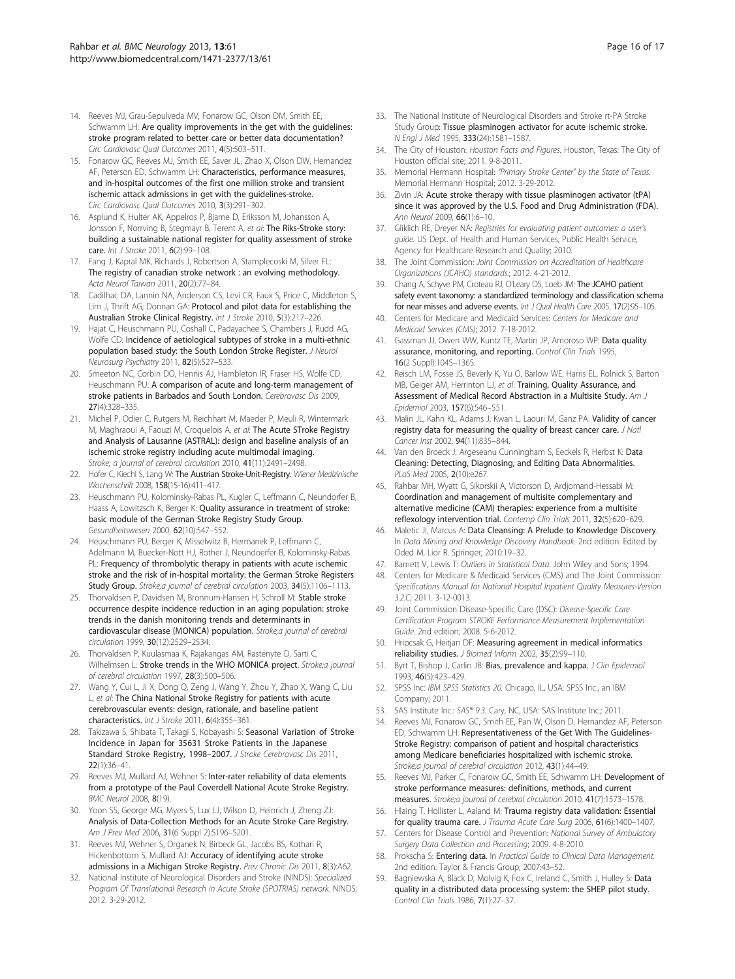- <span id="page-15-0"></span>14. Reeves MJ, Grau-Sepulveda MV, Fonarow GC, Olson DM, Smith EE, Schwamm LH: Are quality improvements in the get with the quidelines: stroke program related to better care or better data documentation? Circ Cardiovasc Qual Outcomes 2011, 4(5):503–511.
- 15. Fonarow GC, Reeves MJ, Smith EE, Saver JL, Zhao X, Olson DW, Hernandez AF, Peterson ED, Schwamm LH: Characteristics, performance measures, and in-hospital outcomes of the first one million stroke and transient ischemic attack admissions in get with the guidelines-stroke. Circ Cardiovasc Qual Outcomes 2010, 3(3):291–302.
- 16. Asplund K, Hulter AK, Appelros P, Bjarne D, Eriksson M, Johansson A, Jonsson F, Norrving B, Stegmayr B, Terent A, et al: The Riks-Stroke story: building a sustainable national register for quality assessment of stroke care. Int J Stroke 2011, 6(2):99-108.
- 17. Fang J, Kapral MK, Richards J, Robertson A, Stamplecoski M, Silver FL: The registry of canadian stroke network : an evolving methodology. Acta Neurol Taiwan 2011, 20(2):77–84.
- 18. Cadilhac DA, Lannin NA, Anderson CS, Levi CR, Faux S, Price C, Middleton S, Lim J, Thrift AG, Donnan GA: Protocol and pilot data for establishing the Australian Stroke Clinical Registry. Int J Stroke 2010, 5(3):217–226.
- 19. Hajat C, Heuschmann PU, Coshall C, Padayachee S, Chambers J, Rudd AG, Wolfe CD: Incidence of aetiological subtypes of stroke in a multi-ethnic population based study: the South London Stroke Register. J Neurol Neurosurg Psychiatry 2011, 82(5):527–533.
- 20. Smeeton NC, Corbin DO, Hennis AJ, Hambleton IR, Fraser HS, Wolfe CD, Heuschmann PU: A comparison of acute and long-term management of stroke patients in Barbados and South London. Cerebrovasc Dis 2009, 27(4):328–335.
- 21. Michel P, Odier C, Rutgers M, Reichhart M, Maeder P, Meuli R, Wintermark M, Maghraoui A, Faouzi M, Croquelois A, et al: The Acute STroke Registry and Analysis of Lausanne (ASTRAL): design and baseline analysis of an ischemic stroke registry including acute multimodal imaging. Stroke; a journal of cerebral circulation 2010, 41(11):2491–2498.
- 22. Hofer C, Kiechl S, Lang W: The Austrian Stroke-Unit-Registry. Wiener Medizinische Wochenschrift 2008, 158(15-16):411–417.
- 23. Heuschmann PU, Kolominsky-Rabas PL, Kugler C, Leffmann C, Neundorfer B, Haass A, Lowitzsch K, Berger K: Quality assurance in treatment of stroke: basic module of the German Stroke Registry Study Group. Gesundheitswesen 2000, 62(10):547–552.
- 24. Heuschmann PU, Berger K, Misselwitz B, Hermanek P, Leffmann C, Adelmann M, Buecker-Nott HJ, Rother J, Neundoerfer B, Kolominsky-Rabas PL: Frequency of thrombolytic therapy in patients with acute ischemic stroke and the risk of in-hospital mortality: the German Stroke Registers Study Group. Stroke;a journal of cerebral circulation 2003, 34(5):1106–1113.
- 25. Thorvaldsen P, Davidsen M, Bronnum-Hansen H, Schroll M: Stable stroke occurrence despite incidence reduction in an aging population: stroke trends in the danish monitoring trends and determinants in cardiovascular disease (MONICA) population. Stroke;a journal of cerebral circulation 1999, 30(12):2529–2534.
- 26. Thorvaldsen P, Kuulasmaa K, Rajakangas AM, Rastenyte D, Sarti C, Wilhelmsen L: Stroke trends in the WHO MONICA project. Stroke;a journal of cerebral circulation 1997, 28(3):500–506.
- 27. Wang Y, Cui L, Ji X, Dong Q, Zeng J, Wang Y, Zhou Y, Zhao X, Wang C, Liu L, et al: The China National Stroke Registry for patients with acute cerebrovascular events: design, rationale, and baseline patient characteristics. Int J Stroke 2011, 6(4):355-361.
- 28. Takizawa S, Shibata T, Takagi S, Kobayashi S: Seasonal Variation of Stroke Incidence in Japan for 35631 Stroke Patients in the Japanese Standard Stroke Registry, 1998–2007. J Stroke Cerebrovasc Dis 2011, 22(1):36–41.
- 29. Reeves MJ, Mullard AJ, Wehner S: Inter-rater reliability of data elements from a prototype of the Paul Coverdell National Acute Stroke Registry. BMC Neurol 2008, 8(19).
- 30. Yoon SS, George MG, Myers S, Lux LJ, Wilson D, Heinrich J, Zheng ZJ: Analysis of Data-Collection Methods for an Acute Stroke Care Registry. Am J Prev Med 2006, 31(6 Suppl 2):S196–S201.
- 31. Reeves MJ, Wehner S, Organek N, Birbeck GL, Jacobs BS, Kothari R, Hickenbottom S, Mullard AJ: Accuracy of identifying acute stroke admissions in a Michigan Stroke Registry. Prev Chronic Dis 2011, 8(3):A62.
- 32. National Institute of Neurological Disorders and Stroke (NINDS): Specialized Program Of Translational Research in Acute Stroke (SPOTRIAS) network. NINDS; 2012. 3-29-2012.
- 33. The National Institute of Neurological Disorders and Stroke rt-PA Stroke Study Group: Tissue plasminogen activator for acute ischemic stroke. N Engl J Med 1995, 333(24):1581–1587.
- 34. The City of Houston: Houston Facts and Figures. Houston, Texas: The City of Houston official site; 2011. 9-8-2011.
- 35. Memorial Hermann Hospital: "Primary Stroke Center" by the State of Texas. Memorial Hermann Hospital; 2012. 3-29-2012.
- 36. Zivin JA: Acute stroke therapy with tissue plasminogen activator (tPA) since it was approved by the U.S. Food and Drug Administration (FDA). Ann Neurol 2009, 66(1):6–10.
- 37. Gliklich RE, Dreyer NA: Registries for evaluating patient outcomes: a user's guide. US Dept. of Health and Human Services, Public Health Service Agency for Healthcare Research and Quality; 2010.
- 38. The Joint Commission: Joint Commission on Accreditation of Healthcare Organizations (JCAHO) standards.; 2012. 4-21-2012.
- 39. Chang A, Schyve PM, Croteau RJ, O'Leary DS, Loeb JM: The JCAHO patient safety event taxonomy: a standardized terminology and classification schema for near misses and adverse events. Int J Qual Health Care 2005, 17(2):95–105.
- 40. Centers for Medicare and Medicaid Services: Centers for Medicare and Medicaid Services (CMS); 2012. 7-18-2012.
- 41. Gassman JJ, Owen WW, Kuntz TE, Martin JP, Amoroso WP: Data quality assurance, monitoring, and reporting. Control Clin Trials 1995, 16(2 Suppl):104S–136S.
- 42. Reisch LM, Fosse JS, Beverly K, Yu O, Barlow WE, Harris EL, Rolnick S, Barton MB, Geiger AM, Herrinton LJ, et al: Training, Quality Assurance, and Assessment of Medical Record Abstraction in a Multisite Study. Am J Epidemiol 2003, 157(6):546–551.
- 43. Malin JL, Kahn KL, Adams J, Kwan L, Laouri M, Ganz PA: Validity of cancer registry data for measuring the quality of breast cancer care. J Natl Cancer Inst 2002, 94(11):835–844.
- 44. Van den Broeck J, Argeseanu Cunningham S, Eeckels R, Herbst K: Data Cleaning: Detecting, Diagnosing, and Editing Data Abnormalities. PLoS Med 2005, 2(10):e267.
- 45. Rahbar MH, Wyatt G, Sikorskii A, Victorson D, Ardjomand-Hessabi M: Coordination and management of multisite complementary and alternative medicine (CAM) therapies: experience from a multisite reflexology intervention trial. Contemp Clin Trials 2011, 32(5):620–629.
- 46. Maletic JI, Marcus A: Data Cleansing: A Prelude to Knowledge Discovery. In Data Mining and Knowledge Discovery Handbook. 2nd edition. Edited by Oded M, Lior R. Springer; 2010:19–32.
- 47. Barnett V, Lewis T: Outliers in Statistical Data. John Wiley and Sons; 1994.
- 48. Centers for Medicare & Medicaid Services (CMS) and The Joint Commission: Specifications Manual for National Hospital Inpatient Quality Measures-Version 3.2.C; 2011. 3-12-0013.
- 49. Joint Commission Disease-Specific Care (DSC): Disease-Specific Care Certification Program STROKE Performance Measurement Implementation Guide. 2nd edition; 2008. 5-6-2012.
- 50. Hripcsak G, Heitjan DF: Measuring agreement in medical informatics reliability studies. J Biomed Inform 2002, 35(2):99–110.
- 51. Byrt T, Bishop J, Carlin JB: Bias, prevalence and kappa. J Clin Epidemiol 1993, 46(5):423–429.
- 52. SPSS Inc: IBM SPSS Statistics 20. Chicago, IL, USA: SPSS Inc., an IBM Company; 2011.
- 53. SAS Institute Inc.: SAS® 9.3. Cary, NC, USA: SAS Institute Inc.; 2011.
- 54. Reeves MJ, Fonarow GC, Smith EE, Pan W, Olson D, Hernandez AF, Peterson ED, Schwamm LH: Representativeness of the Get With The Guidelines-Stroke Registry: comparison of patient and hospital characteristics among Medicare beneficiaries hospitalized with ischemic stroke. Stroke;a journal of cerebral circulation 2012, 43(1):44–49.
- 55. Reeves MJ, Parker C, Fonarow GC, Smith EE, Schwamm LH: Development of stroke performance measures: definitions, methods, and current measures. Stroke;a journal of cerebral circulation 2010, 41(7):1573–1578.
- 56. Hlaing T, Hollister L, Aaland M: Trauma registry data validation: Essential for quality trauma care. J Trauma Acute Care Surg 2006, 61(6):1400–1407.
- 57. Centers for Disease Control and Prevention: National Survey of Ambulatory Surgery Data Collection and Processing; 2009. 4-8-2010.
- 58. Prokscha S: Entering data. In Practical Guide to Clinical Data Management. 2nd edition. Taylor & Francis Group; 2007:43–52.
- 59. Bagniewska A, Black D, Molvig K, Fox C, Ireland C, Smith J, Hulley S: Data quality in a distributed data processing system: the SHEP pilot study. Control Clin Trials 1986, 7(1):27–37.